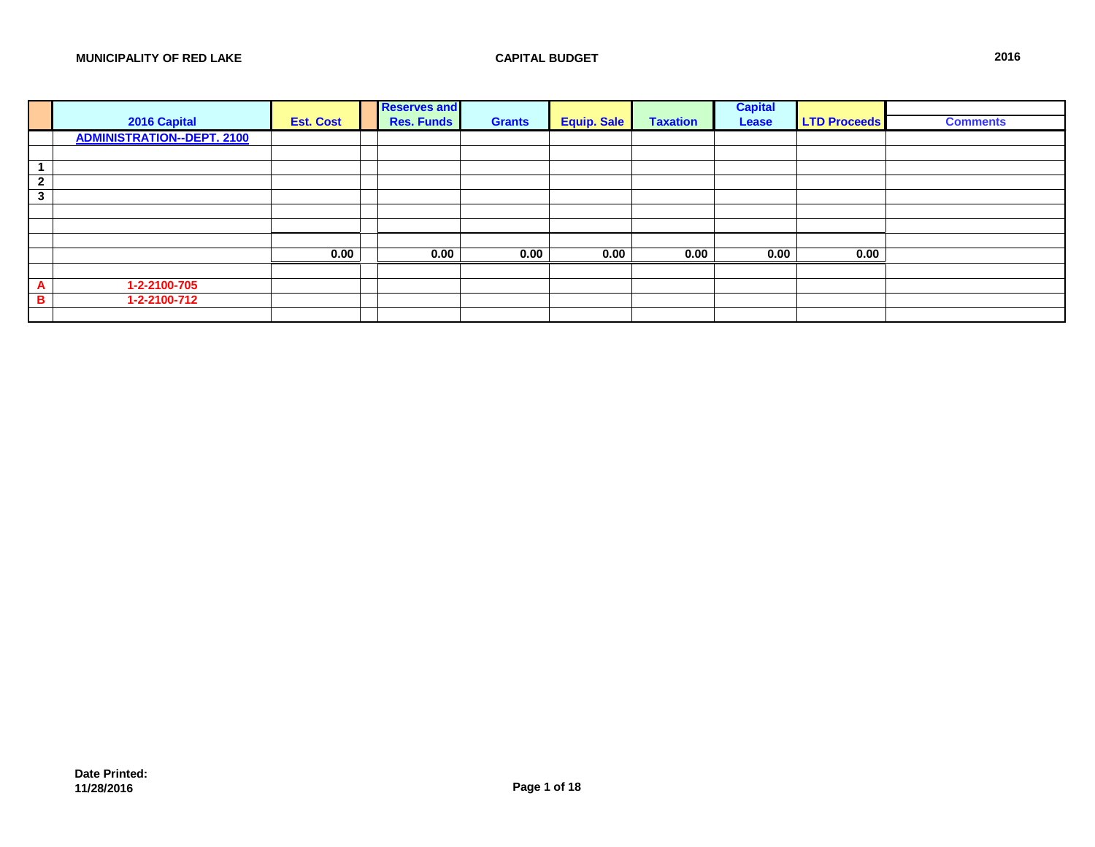|                |                                   |                  | <b>Reserves and</b> |               |                    |                 | <b>Capital</b> |                     |                 |
|----------------|-----------------------------------|------------------|---------------------|---------------|--------------------|-----------------|----------------|---------------------|-----------------|
|                | 2016 Capital                      | <b>Est. Cost</b> | <b>Res. Funds</b>   | <b>Grants</b> | <b>Equip. Sale</b> | <b>Taxation</b> | <b>Lease</b>   | <b>LTD Proceeds</b> | <b>Comments</b> |
|                | <b>ADMINISTRATION--DEPT. 2100</b> |                  |                     |               |                    |                 |                |                     |                 |
|                |                                   |                  |                     |               |                    |                 |                |                     |                 |
|                |                                   |                  |                     |               |                    |                 |                |                     |                 |
| $\overline{2}$ |                                   |                  |                     |               |                    |                 |                |                     |                 |
| $\mathbf{3}$   |                                   |                  |                     |               |                    |                 |                |                     |                 |
|                |                                   |                  |                     |               |                    |                 |                |                     |                 |
|                |                                   |                  |                     |               |                    |                 |                |                     |                 |
|                |                                   |                  |                     |               |                    |                 |                |                     |                 |
|                |                                   | 0.00             | 0.00                | 0.00          | 0.00               | 0.00            | 0.00           | 0.00                |                 |
|                |                                   |                  |                     |               |                    |                 |                |                     |                 |
| $\overline{A}$ | 1-2-2100-705                      |                  |                     |               |                    |                 |                |                     |                 |
| B              | 1-2-2100-712                      |                  |                     |               |                    |                 |                |                     |                 |
|                |                                   |                  |                     |               |                    |                 |                |                     |                 |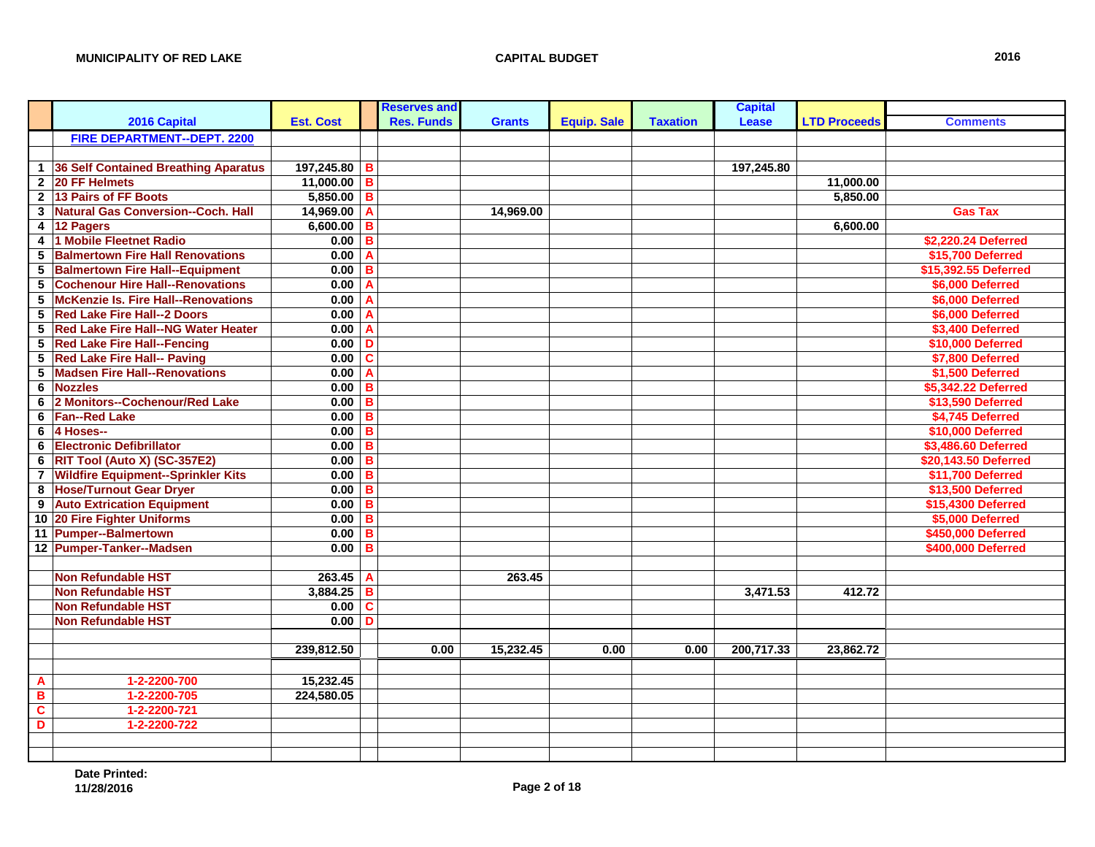|                         |                                            |                  |                         | <b>Reserves and</b> |               |                    |                 | <b>Capital</b> |                     |                      |
|-------------------------|--------------------------------------------|------------------|-------------------------|---------------------|---------------|--------------------|-----------------|----------------|---------------------|----------------------|
|                         | 2016 Capital                               | <b>Est. Cost</b> |                         | <b>Res. Funds</b>   | <b>Grants</b> | <b>Equip. Sale</b> | <b>Taxation</b> | <b>Lease</b>   | <b>LTD Proceeds</b> | <b>Comments</b>      |
|                         | <b>FIRE DEPARTMENT--DEPT. 2200</b>         |                  |                         |                     |               |                    |                 |                |                     |                      |
|                         |                                            |                  |                         |                     |               |                    |                 |                |                     |                      |
| $\mathbf 1$             | 36 Self Contained Breathing Aparatus       | 197,245.80       | B                       |                     |               |                    |                 | 197,245.80     |                     |                      |
| $\mathbf{2}$            | 20 FF Helmets                              | 11,000.00        | $\overline{B}$          |                     |               |                    |                 |                | 11,000.00           |                      |
| $\overline{2}$          | 13 Pairs of FF Boots                       | $5,850.00$ B     |                         |                     |               |                    |                 |                | 5,850.00            |                      |
| 3                       | Natural Gas Conversion--Coch. Hall         | 14,969.00        | A                       |                     | 14.969.00     |                    |                 |                |                     | <b>Gas Tax</b>       |
| 4                       | 12 Pagers                                  | 6,600.00         | B                       |                     |               |                    |                 |                | 6,600.00            |                      |
| $\overline{\mathbf{4}}$ | 1 Mobile Fleetnet Radio                    | 0.00             | B                       |                     |               |                    |                 |                |                     | \$2,220.24 Deferred  |
| 5                       | <b>Balmertown Fire Hall Renovations</b>    | 0.00             | A                       |                     |               |                    |                 |                |                     | \$15,700 Deferred    |
| $\overline{\mathbf{5}}$ | <b>Balmertown Fire Hall--Equipment</b>     | 0.00             | $\overline{\mathbf{B}}$ |                     |               |                    |                 |                |                     | \$15,392.55 Deferred |
| 5                       | <b>Cochenour Hire Hall--Renovations</b>    | 0.00             | Α                       |                     |               |                    |                 |                |                     | \$6,000 Deferred     |
| 5                       | <b>McKenzie Is. Fire Hall--Renovations</b> | 0.00             | A                       |                     |               |                    |                 |                |                     | \$6,000 Deferred     |
| 5                       | <b>Red Lake Fire Hall--2 Doors</b>         | 0.00             | A                       |                     |               |                    |                 |                |                     | \$6,000 Deferred     |
| 5                       | <b>Red Lake Fire Hall--NG Water Heater</b> | 0.00             | Α                       |                     |               |                    |                 |                |                     | \$3,400 Deferred     |
| 5                       | <b>Red Lake Fire Hall--Fencing</b>         | 0.00             | D                       |                     |               |                    |                 |                |                     | \$10,000 Deferred    |
| $5\phantom{.0}$         | <b>Red Lake Fire Hall-- Paving</b>         | 0.00             | $\overline{\mathbf{c}}$ |                     |               |                    |                 |                |                     | \$7,800 Deferred     |
| 5                       | <b>Madsen Fire Hall--Renovations</b>       | 0.00             | A                       |                     |               |                    |                 |                |                     | \$1,500 Deferred     |
| 6                       | <b>Nozzles</b>                             | 0.00             | B                       |                     |               |                    |                 |                |                     | \$5,342.22 Deferred  |
| 6                       | 2 Monitors--Cochenour/Red Lake             | 0.00             | B                       |                     |               |                    |                 |                |                     | \$13,590 Deferred    |
| 6                       | <b>Fan--Red Lake</b>                       | 0.00             | B                       |                     |               |                    |                 |                |                     | \$4,745 Deferred     |
| 6                       | 4 Hoses--                                  | 0.00             | $\overline{\mathbf{B}}$ |                     |               |                    |                 |                |                     | \$10,000 Deferred    |
| 6                       | <b>Electronic Defibrillator</b>            | 0.00             | $\overline{\mathbf{B}}$ |                     |               |                    |                 |                |                     | \$3,486.60 Deferred  |
| 6                       | RIT Tool (Auto X) (SC-357E2)               | 0.00             | $\overline{B}$          |                     |               |                    |                 |                |                     | \$20,143.50 Deferred |
| $\overline{7}$          | <b>Wildfire Equipment--Sprinkler Kits</b>  | 0.00             | $\overline{\mathbf{B}}$ |                     |               |                    |                 |                |                     | \$11,700 Deferred    |
| 8                       | <b>Hose/Turnout Gear Dryer</b>             | 0.00             | B                       |                     |               |                    |                 |                |                     | \$13,500 Deferred    |
| $\boldsymbol{9}$        | <b>Auto Extrication Equipment</b>          | 0.00             | B                       |                     |               |                    |                 |                |                     | \$15,4300 Deferred   |
| 10                      | <b>20 Fire Fighter Uniforms</b>            | 0.00             | B                       |                     |               |                    |                 |                |                     | \$5,000 Deferred     |
| 11                      | <b>Pumper--Balmertown</b>                  | 0.00             | B                       |                     |               |                    |                 |                |                     | \$450,000 Deferred   |
|                         | 12 Pumper-Tanker--Madsen                   | 0.00             | B                       |                     |               |                    |                 |                |                     | \$400,000 Deferred   |
|                         |                                            |                  |                         |                     |               |                    |                 |                |                     |                      |
|                         | <b>Non Refundable HST</b>                  | 263.45           | $\overline{A}$          |                     | 263.45        |                    |                 |                |                     |                      |
|                         | <b>Non Refundable HST</b>                  | 3,884.25         | $\overline{\mathbf{B}}$ |                     |               |                    |                 | 3,471.53       | 412.72              |                      |
|                         | <b>Non Refundable HST</b>                  | 0.00             | $\overline{\mathbf{c}}$ |                     |               |                    |                 |                |                     |                      |
|                         | <b>Non Refundable HST</b>                  | 0.00             | D                       |                     |               |                    |                 |                |                     |                      |
|                         |                                            |                  |                         |                     |               |                    |                 |                |                     |                      |
|                         |                                            | 239,812.50       |                         | 0.00                | 15,232.45     | 0.00               | 0.00            | 200,717.33     | 23,862.72           |                      |
|                         |                                            |                  |                         |                     |               |                    |                 |                |                     |                      |
| $\overline{\mathbf{A}}$ | 1-2-2200-700                               | 15,232.45        |                         |                     |               |                    |                 |                |                     |                      |
| $\overline{B}$          | 1-2-2200-705                               | 224,580.05       |                         |                     |               |                    |                 |                |                     |                      |
| $\overline{c}$          | 1-2-2200-721                               |                  |                         |                     |               |                    |                 |                |                     |                      |
| D                       | 1-2-2200-722                               |                  |                         |                     |               |                    |                 |                |                     |                      |
|                         |                                            |                  |                         |                     |               |                    |                 |                |                     |                      |
|                         |                                            |                  |                         |                     |               |                    |                 |                |                     |                      |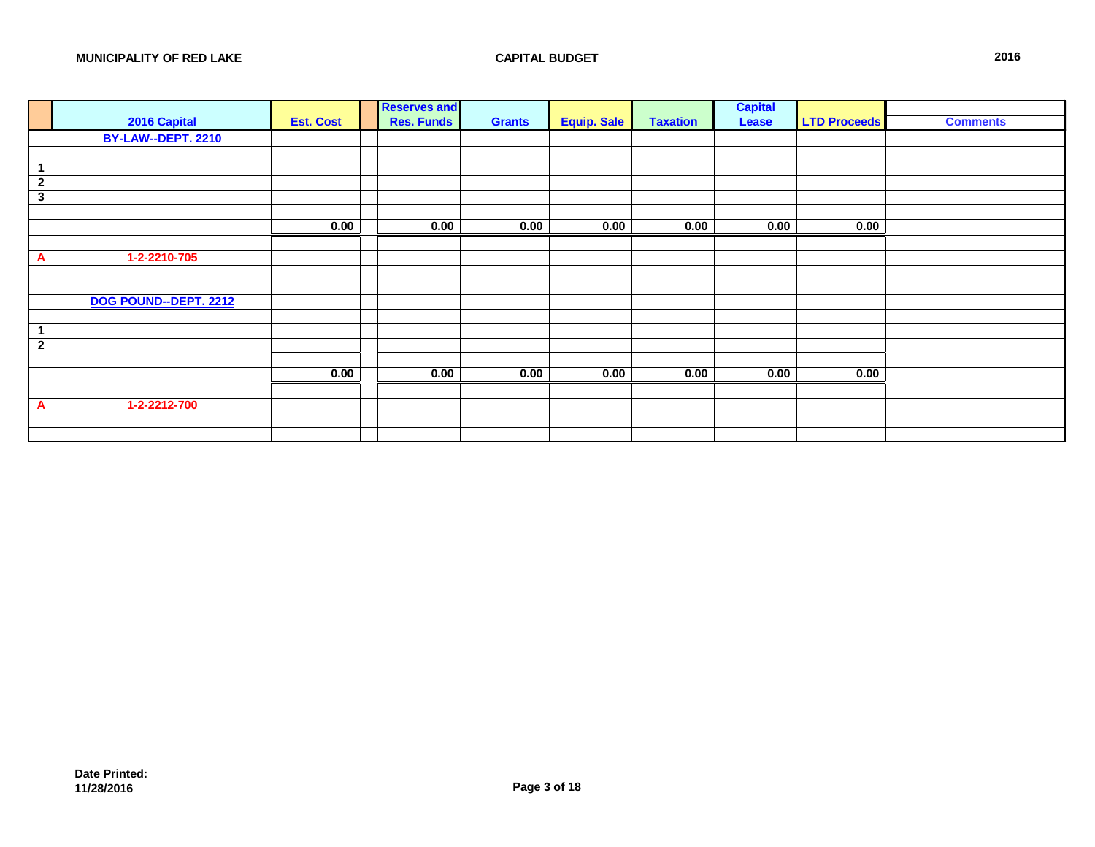|                | 2016 Capital          | <b>Est. Cost</b> | <b>Reserves and</b><br><b>Res. Funds</b> | <b>Grants</b> | <b>Equip. Sale</b> | <b>Taxation</b> | <b>Capital</b><br>Lease | <b>LTD Proceeds</b> | <b>Comments</b> |
|----------------|-----------------------|------------------|------------------------------------------|---------------|--------------------|-----------------|-------------------------|---------------------|-----------------|
|                | BY-LAW--DEPT. 2210    |                  |                                          |               |                    |                 |                         |                     |                 |
|                |                       |                  |                                          |               |                    |                 |                         |                     |                 |
|                |                       |                  |                                          |               |                    |                 |                         |                     |                 |
| 1              |                       |                  |                                          |               |                    |                 |                         |                     |                 |
| $\overline{2}$ |                       |                  |                                          |               |                    |                 |                         |                     |                 |
| $\mathbf{3}$   |                       |                  |                                          |               |                    |                 |                         |                     |                 |
|                |                       |                  |                                          |               |                    |                 |                         |                     |                 |
|                |                       | 0.00             | 0.00                                     | 0.00          | 0.00               | 0.00            | 0.00                    | 0.00                |                 |
|                |                       |                  |                                          |               |                    |                 |                         |                     |                 |
| A              | 1-2-2210-705          |                  |                                          |               |                    |                 |                         |                     |                 |
|                |                       |                  |                                          |               |                    |                 |                         |                     |                 |
|                |                       |                  |                                          |               |                    |                 |                         |                     |                 |
|                | DOG POUND--DEPT. 2212 |                  |                                          |               |                    |                 |                         |                     |                 |
|                |                       |                  |                                          |               |                    |                 |                         |                     |                 |
|                |                       |                  |                                          |               |                    |                 |                         |                     |                 |
| $\overline{2}$ |                       |                  |                                          |               |                    |                 |                         |                     |                 |
|                |                       |                  |                                          |               |                    |                 |                         |                     |                 |
|                |                       | 0.00             | 0.00                                     | 0.00          | 0.00               | 0.00            | 0.00                    | 0.00                |                 |
|                |                       |                  |                                          |               |                    |                 |                         |                     |                 |
| A              | 1-2-2212-700          |                  |                                          |               |                    |                 |                         |                     |                 |
|                |                       |                  |                                          |               |                    |                 |                         |                     |                 |
|                |                       |                  |                                          |               |                    |                 |                         |                     |                 |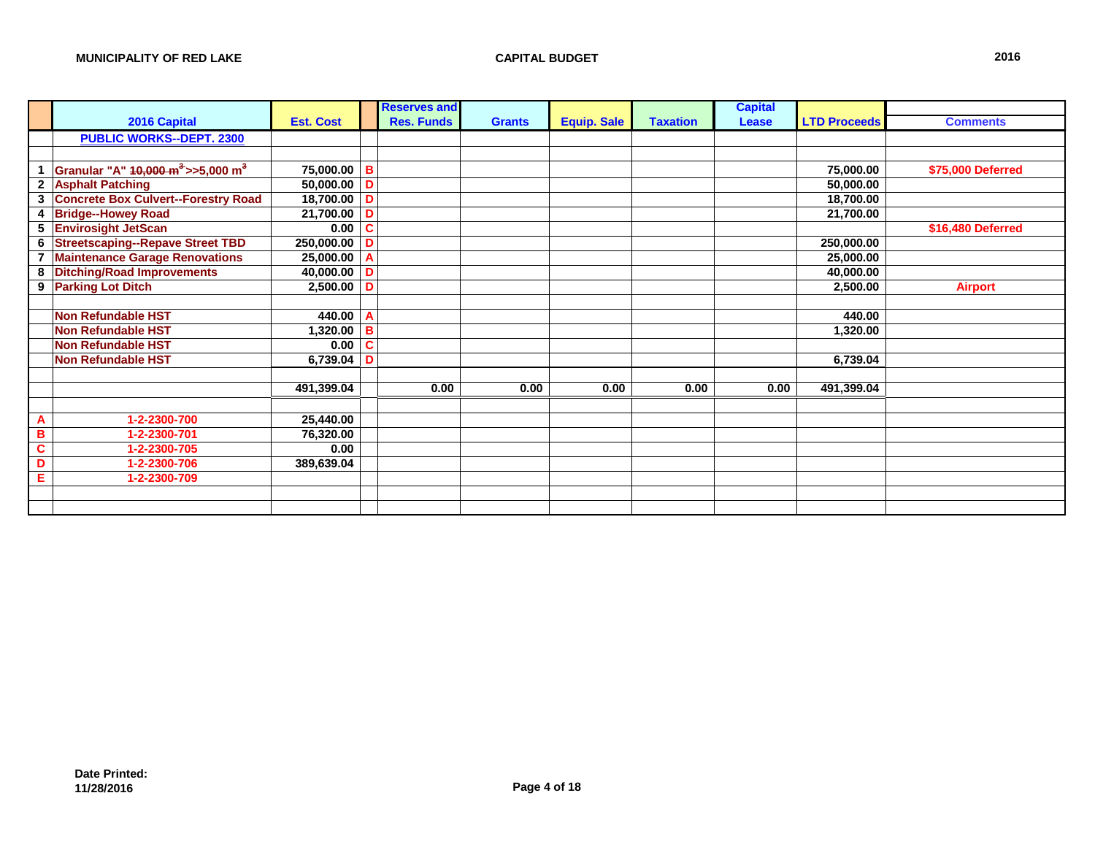|                         |                                                           |                     |                | <b>Reserves and</b> |               |                    |                 | <b>Capital</b> |                     |                   |
|-------------------------|-----------------------------------------------------------|---------------------|----------------|---------------------|---------------|--------------------|-----------------|----------------|---------------------|-------------------|
|                         | 2016 Capital                                              | <b>Est. Cost</b>    |                | <b>Res. Funds</b>   | <b>Grants</b> | <b>Equip. Sale</b> | <b>Taxation</b> | <b>Lease</b>   | <b>LTD Proceeds</b> | <b>Comments</b>   |
|                         | <b>PUBLIC WORKS--DEPT. 2300</b>                           |                     |                |                     |               |                    |                 |                |                     |                   |
|                         |                                                           |                     |                |                     |               |                    |                 |                |                     |                   |
|                         | Granular "A" 10,000 m <sup>3</sup> >>5,000 m <sup>3</sup> | 75,000.00 B         |                |                     |               |                    |                 |                | 75,000.00           | \$75,000 Deferred |
| $\mathbf{2}$            | <b>Asphalt Patching</b>                                   | $50,000.00$ D       |                |                     |               |                    |                 |                | 50,000.00           |                   |
|                         | 3 Concrete Box Culvert--Forestry Road                     | 18,700.00 D         |                |                     |               |                    |                 |                | 18,700.00           |                   |
| $\overline{\mathbf{4}}$ | <b>Bridge--Howey Road</b>                                 | 21,700.00 D         |                |                     |               |                    |                 |                | 21,700.00           |                   |
| 5                       | <b>Envirosight JetScan</b>                                | 0.00                | C              |                     |               |                    |                 |                |                     | \$16,480 Deferred |
| 6                       | <b>Streetscaping--Repave Street TBD</b>                   | 250,000.00          | D              |                     |               |                    |                 |                | 250,000.00          |                   |
| $\overline{7}$          | <b>Maintenance Garage Renovations</b>                     | 25,000.00           | $\overline{A}$ |                     |               |                    |                 |                | 25,000.00           |                   |
| 8                       | <b>Ditching/Road Improvements</b>                         | 40,000.00 D         |                |                     |               |                    |                 |                | 40,000.00           |                   |
| 9                       | <b>Parking Lot Ditch</b>                                  | $2,500.00$ D        |                |                     |               |                    |                 |                | 2,500.00            | <b>Airport</b>    |
|                         |                                                           |                     |                |                     |               |                    |                 |                |                     |                   |
|                         | <b>Non Refundable HST</b>                                 | 440.00 A            |                |                     |               |                    |                 |                | 440.00              |                   |
|                         | <b>Non Refundable HST</b>                                 | 1,320.00   <b>B</b> |                |                     |               |                    |                 |                | 1,320.00            |                   |
|                         | <b>Non Refundable HST</b>                                 | 0.00                | C              |                     |               |                    |                 |                |                     |                   |
|                         | <b>Non Refundable HST</b>                                 | 6,739.04            | D              |                     |               |                    |                 |                | 6,739.04            |                   |
|                         |                                                           |                     |                |                     |               |                    |                 |                |                     |                   |
|                         |                                                           | 491,399.04          |                | 0.00                | 0.00          | 0.00               | 0.00            | 0.00           | 491,399.04          |                   |
|                         |                                                           |                     |                |                     |               |                    |                 |                |                     |                   |
| A                       | 1-2-2300-700                                              | 25,440.00           |                |                     |               |                    |                 |                |                     |                   |
| в                       | 1-2-2300-701                                              | 76,320.00           |                |                     |               |                    |                 |                |                     |                   |
| $\mathbf c$             | 1-2-2300-705                                              | 0.00                |                |                     |               |                    |                 |                |                     |                   |
| D                       | 1-2-2300-706                                              | 389,639.04          |                |                     |               |                    |                 |                |                     |                   |
| E                       | 1-2-2300-709                                              |                     |                |                     |               |                    |                 |                |                     |                   |
|                         |                                                           |                     |                |                     |               |                    |                 |                |                     |                   |
|                         |                                                           |                     |                |                     |               |                    |                 |                |                     |                   |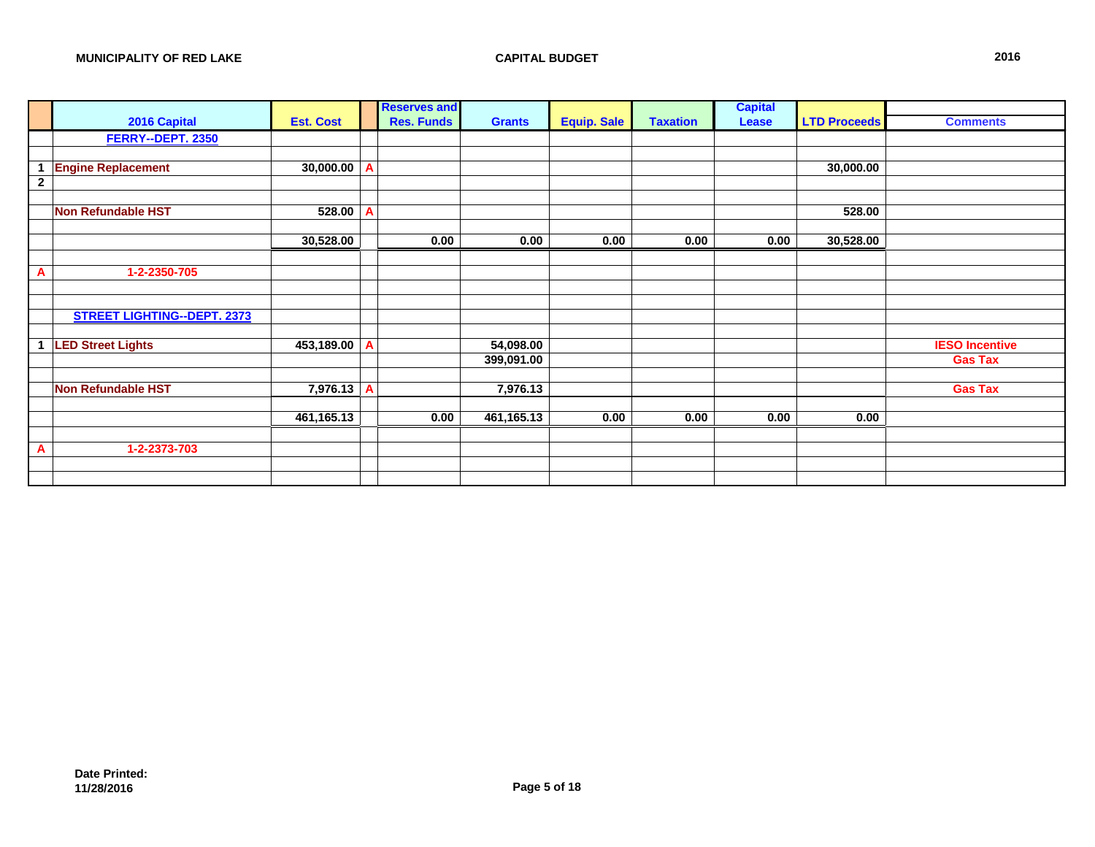|                |                                    |                  | <b>Reserves and</b> |               |                    |                 | <b>Capital</b> |                     |                       |
|----------------|------------------------------------|------------------|---------------------|---------------|--------------------|-----------------|----------------|---------------------|-----------------------|
|                | 2016 Capital                       | <b>Est. Cost</b> | <b>Res. Funds</b>   | <b>Grants</b> | <b>Equip. Sale</b> | <b>Taxation</b> | Lease          | <b>LTD Proceeds</b> | <b>Comments</b>       |
|                | FERRY--DEPT. 2350                  |                  |                     |               |                    |                 |                |                     |                       |
|                |                                    |                  |                     |               |                    |                 |                |                     |                       |
| $\mathbf{1}$   | <b>Engine Replacement</b>          | $30,000.00$ A    |                     |               |                    |                 |                | 30,000.00           |                       |
| $\overline{2}$ |                                    |                  |                     |               |                    |                 |                |                     |                       |
|                |                                    |                  |                     |               |                    |                 |                |                     |                       |
|                | <b>Non Refundable HST</b>          | $528.00$ A       |                     |               |                    |                 |                | 528.00              |                       |
|                |                                    |                  |                     |               |                    |                 |                |                     |                       |
|                |                                    | 30,528.00        | 0.00                | 0.00          | 0.00               | 0.00            | 0.00           | 30,528.00           |                       |
|                |                                    |                  |                     |               |                    |                 |                |                     |                       |
| A              | 1-2-2350-705                       |                  |                     |               |                    |                 |                |                     |                       |
|                |                                    |                  |                     |               |                    |                 |                |                     |                       |
|                |                                    |                  |                     |               |                    |                 |                |                     |                       |
|                | <b>STREET LIGHTING--DEPT. 2373</b> |                  |                     |               |                    |                 |                |                     |                       |
|                |                                    |                  |                     |               |                    |                 |                |                     |                       |
| -1             | <b>LED Street Lights</b>           | 453,189.00 A     |                     | 54,098.00     |                    |                 |                |                     | <b>IESO Incentive</b> |
|                |                                    |                  |                     | 399,091.00    |                    |                 |                |                     | <b>Gas Tax</b>        |
|                | <b>Non Refundable HST</b>          | 7,976.13 A       |                     | 7,976.13      |                    |                 |                |                     | <b>Gas Tax</b>        |
|                |                                    |                  |                     |               |                    |                 |                |                     |                       |
|                |                                    | 461,165.13       | 0.00                | 461,165.13    | 0.00               | 0.00            | 0.00           | 0.00                |                       |
|                |                                    |                  |                     |               |                    |                 |                |                     |                       |
| A              | 1-2-2373-703                       |                  |                     |               |                    |                 |                |                     |                       |
|                |                                    |                  |                     |               |                    |                 |                |                     |                       |
|                |                                    |                  |                     |               |                    |                 |                |                     |                       |
|                |                                    |                  |                     |               |                    |                 |                |                     |                       |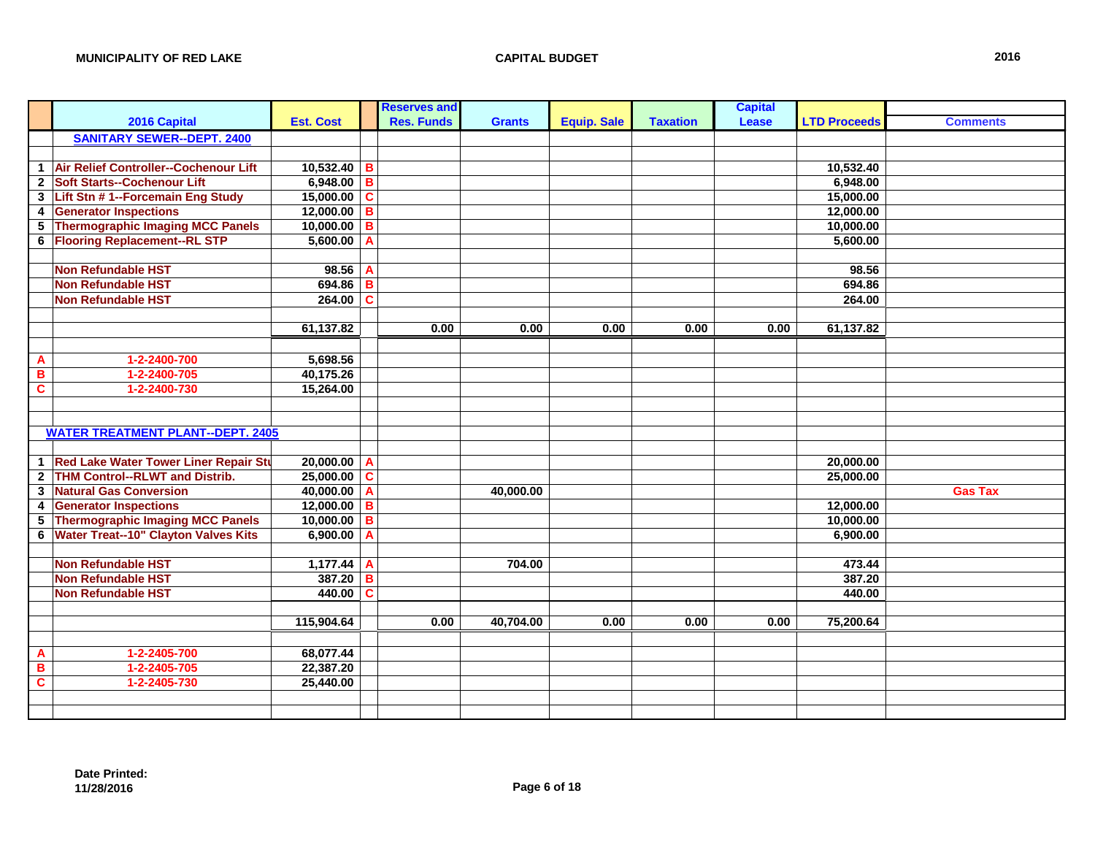|                         |                                              |                  |   | <b>Reserves and</b> |               |                    |                 | <b>Capital</b> |                     |                 |
|-------------------------|----------------------------------------------|------------------|---|---------------------|---------------|--------------------|-----------------|----------------|---------------------|-----------------|
|                         | 2016 Capital                                 | <b>Est. Cost</b> |   | <b>Res. Funds</b>   | <b>Grants</b> | <b>Equip. Sale</b> | <b>Taxation</b> | Lease          | <b>LTD Proceeds</b> | <b>Comments</b> |
|                         | <b>SANITARY SEWER--DEPT. 2400</b>            |                  |   |                     |               |                    |                 |                |                     |                 |
|                         |                                              |                  |   |                     |               |                    |                 |                |                     |                 |
| $\mathbf{1}$            | Air Relief Controller--Cochenour Lift        | $10,532.40$ B    |   |                     |               |                    |                 |                | 10,532.40           |                 |
| $\overline{2}$          | <b>Soft Starts--Cochenour Lift</b>           | $6,948.00$ B     |   |                     |               |                    |                 |                | 6,948.00            |                 |
| $\overline{\mathbf{3}}$ | Lift Stn # 1--Forcemain Eng Study            | $15,000.00$ C    |   |                     |               |                    |                 |                | 15,000.00           |                 |
| $\boldsymbol{4}$        | <b>Generator Inspections</b>                 | $12,000.00$ B    |   |                     |               |                    |                 |                | 12,000.00           |                 |
| 5                       | <b>Thermographic Imaging MCC Panels</b>      | $10,000.00$ B    |   |                     |               |                    |                 |                | 10,000.00           |                 |
| 6                       | <b>Flooring Replacement--RL STP</b>          | $5,600.00$ A     |   |                     |               |                    |                 |                | 5,600.00            |                 |
|                         |                                              |                  |   |                     |               |                    |                 |                |                     |                 |
|                         | <b>Non Refundable HST</b>                    | 98.56 A          |   |                     |               |                    |                 |                | 98.56               |                 |
|                         | <b>Non Refundable HST</b>                    | $694.86$ B       |   |                     |               |                    |                 |                | 694.86              |                 |
|                         | <b>Non Refundable HST</b>                    | $264.00$ C       |   |                     |               |                    |                 |                | 264.00              |                 |
|                         |                                              |                  |   |                     |               |                    |                 |                |                     |                 |
|                         |                                              | 61,137.82        |   | 0.00                | 0.00          | 0.00               | 0.00            | 0.00           | 61,137.82           |                 |
|                         |                                              |                  |   |                     |               |                    |                 |                |                     |                 |
| $\overline{\mathbf{A}}$ | 1-2-2400-700                                 | 5,698.56         |   |                     |               |                    |                 |                |                     |                 |
| $\overline{\mathbf{B}}$ | 1-2-2400-705                                 | 40,175.26        |   |                     |               |                    |                 |                |                     |                 |
| $\mathbf c$             | 1-2-2400-730                                 | 15,264.00        |   |                     |               |                    |                 |                |                     |                 |
|                         |                                              |                  |   |                     |               |                    |                 |                |                     |                 |
|                         |                                              |                  |   |                     |               |                    |                 |                |                     |                 |
|                         | <b>WATER TREATMENT PLANT--DEPT. 2405</b>     |                  |   |                     |               |                    |                 |                |                     |                 |
|                         |                                              |                  |   |                     |               |                    |                 |                |                     |                 |
| $\mathbf{1}$            | <b>Red Lake Water Tower Liner Repair Stu</b> | $20,000.00$ A    |   |                     |               |                    |                 |                | 20,000.00           |                 |
| $\mathbf{2}$            | <b>THM Control--RLWT and Distrib.</b>        | $25,000.00$ C    |   |                     |               |                    |                 |                | 25,000.00           |                 |
| $\mathbf{3}$            | <b>Natural Gas Conversion</b>                | 40,000.00 A      |   |                     | 40,000.00     |                    |                 |                |                     | <b>Gas Tax</b>  |
| 4                       | <b>Generator Inspections</b>                 | $12,000.00$ B    |   |                     |               |                    |                 |                | 12,000.00           |                 |
| $\overline{\mathbf{5}}$ | <b>Thermographic Imaging MCC Panels</b>      | $10,000.00$ B    |   |                     |               |                    |                 |                | 10,000.00           |                 |
| 6                       | <b>Water Treat--10" Clayton Valves Kits</b>  | 6,900.00         | A |                     |               |                    |                 |                | 6,900.00            |                 |
|                         |                                              |                  |   |                     |               |                    |                 |                |                     |                 |
|                         | <b>Non Refundable HST</b>                    | $1,177.44$ A     |   |                     | 704.00        |                    |                 |                | 473.44              |                 |
|                         | <b>Non Refundable HST</b>                    | $387.20$ B       |   |                     |               |                    |                 |                | 387.20              |                 |
|                         | <b>Non Refundable HST</b>                    | $440.00$ C       |   |                     |               |                    |                 |                | 440.00              |                 |
|                         |                                              |                  |   |                     |               |                    |                 |                |                     |                 |
|                         |                                              | 115,904.64       |   | 0.00                | 40,704.00     | 0.00               | 0.00            | 0.00           | 75,200.64           |                 |
|                         |                                              |                  |   |                     |               |                    |                 |                |                     |                 |
| $\overline{\mathbf{A}}$ | 1-2-2405-700                                 | 68,077.44        |   |                     |               |                    |                 |                |                     |                 |
| B                       | 1-2-2405-705                                 | 22,387.20        |   |                     |               |                    |                 |                |                     |                 |
| $\overline{\mathbf{c}}$ | 1-2-2405-730                                 | 25,440.00        |   |                     |               |                    |                 |                |                     |                 |
|                         |                                              |                  |   |                     |               |                    |                 |                |                     |                 |
|                         |                                              |                  |   |                     |               |                    |                 |                |                     |                 |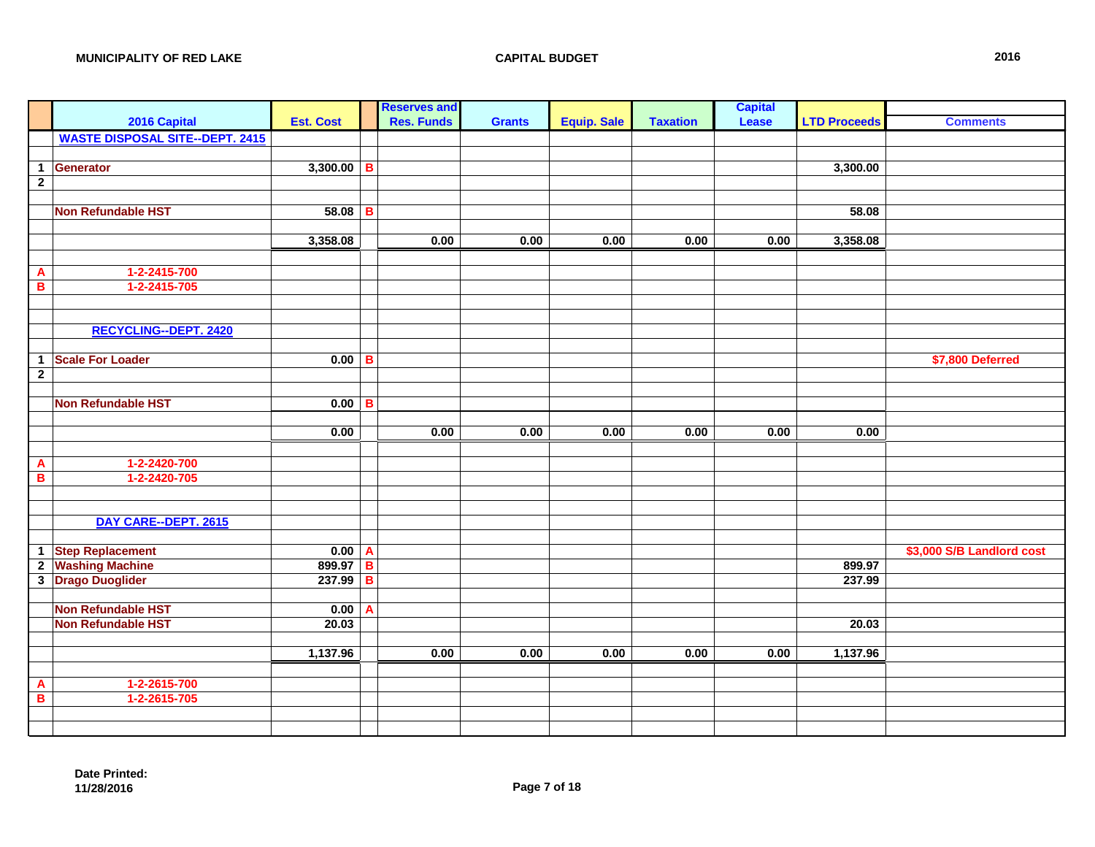| I                       |                                        |                     |              | <b>Reserves and</b> |               |                    |                 | <b>Capital</b> |                     |                           |
|-------------------------|----------------------------------------|---------------------|--------------|---------------------|---------------|--------------------|-----------------|----------------|---------------------|---------------------------|
|                         | 2016 Capital                           | <b>Est. Cost</b>    |              | <b>Res. Funds</b>   | <b>Grants</b> | <b>Equip. Sale</b> | <b>Taxation</b> | Lease          | <b>LTD Proceeds</b> | <b>Comments</b>           |
|                         | <b>WASTE DISPOSAL SITE--DEPT. 2415</b> |                     |              |                     |               |                    |                 |                |                     |                           |
|                         |                                        |                     |              |                     |               |                    |                 |                |                     |                           |
| $\mathbf{1}$            | Generator                              | $3,300.00$ B        |              |                     |               |                    |                 |                | 3,300.00            |                           |
| $\overline{2}$          |                                        |                     |              |                     |               |                    |                 |                |                     |                           |
|                         |                                        |                     |              |                     |               |                    |                 |                |                     |                           |
|                         | <b>Non Refundable HST</b>              | 58.08               | $\, {\bf B}$ |                     |               |                    |                 |                | 58.08               |                           |
|                         |                                        |                     |              |                     |               |                    |                 |                |                     |                           |
|                         |                                        | 3,358.08            |              | 0.00                | 0.00          | 0.00               | 0.00            | 0.00           | 3,358.08            |                           |
|                         |                                        |                     |              |                     |               |                    |                 |                |                     |                           |
| $\mathbf{A}$            | 1-2-2415-700                           |                     |              |                     |               |                    |                 |                |                     |                           |
| $\overline{\mathbf{B}}$ | 1-2-2415-705                           |                     |              |                     |               |                    |                 |                |                     |                           |
|                         |                                        |                     |              |                     |               |                    |                 |                |                     |                           |
|                         |                                        |                     |              |                     |               |                    |                 |                |                     |                           |
|                         | <b>RECYCLING--DEPT. 2420</b>           |                     |              |                     |               |                    |                 |                |                     |                           |
|                         |                                        |                     |              |                     |               |                    |                 |                |                     |                           |
| $\mathbf 1$             | <b>Scale For Loader</b>                | $0.00$ B            |              |                     |               |                    |                 |                |                     | \$7,800 Deferred          |
| $\overline{2}$          |                                        |                     |              |                     |               |                    |                 |                |                     |                           |
|                         | <b>Non Refundable HST</b>              | $0.00$ B            |              |                     |               |                    |                 |                |                     |                           |
|                         |                                        |                     |              |                     |               |                    |                 |                |                     |                           |
|                         |                                        | 0.00                |              | 0.00                | 0.00          | 0.00               | 0.00            | 0.00           | 0.00                |                           |
|                         |                                        |                     |              |                     |               |                    |                 |                |                     |                           |
|                         | 1-2-2420-700                           |                     |              |                     |               |                    |                 |                |                     |                           |
| $\mathbf{A}$<br>B       | 1-2-2420-705                           |                     |              |                     |               |                    |                 |                |                     |                           |
|                         |                                        |                     |              |                     |               |                    |                 |                |                     |                           |
|                         |                                        |                     |              |                     |               |                    |                 |                |                     |                           |
|                         | DAY CARE--DEPT. 2615                   |                     |              |                     |               |                    |                 |                |                     |                           |
|                         |                                        |                     |              |                     |               |                    |                 |                |                     |                           |
|                         | 1 Step Replacement                     | $\overline{0.00}$ A |              |                     |               |                    |                 |                |                     | \$3,000 S/B Landlord cost |
|                         | 2 Washing Machine                      | 899.97 B            |              |                     |               |                    |                 |                | 899.97              |                           |
|                         | 3 Drago Duoglider                      | 237.99              | B            |                     |               |                    |                 |                | 237.99              |                           |
|                         |                                        |                     |              |                     |               |                    |                 |                |                     |                           |
|                         | <b>Non Refundable HST</b>              | 0.00                | A            |                     |               |                    |                 |                |                     |                           |
|                         | <b>Non Refundable HST</b>              | 20.03               |              |                     |               |                    |                 |                | 20.03               |                           |
|                         |                                        |                     |              |                     |               |                    |                 |                |                     |                           |
|                         |                                        | 1,137.96            |              | 0.00                | 0.00          | 0.00               | 0.00            | 0.00           | 1,137.96            |                           |
|                         |                                        |                     |              |                     |               |                    |                 |                |                     |                           |
| A                       | 1-2-2615-700                           |                     |              |                     |               |                    |                 |                |                     |                           |
| $\, {\bf B} \,$         | 1-2-2615-705                           |                     |              |                     |               |                    |                 |                |                     |                           |
|                         |                                        |                     |              |                     |               |                    |                 |                |                     |                           |
|                         |                                        |                     |              |                     |               |                    |                 |                |                     |                           |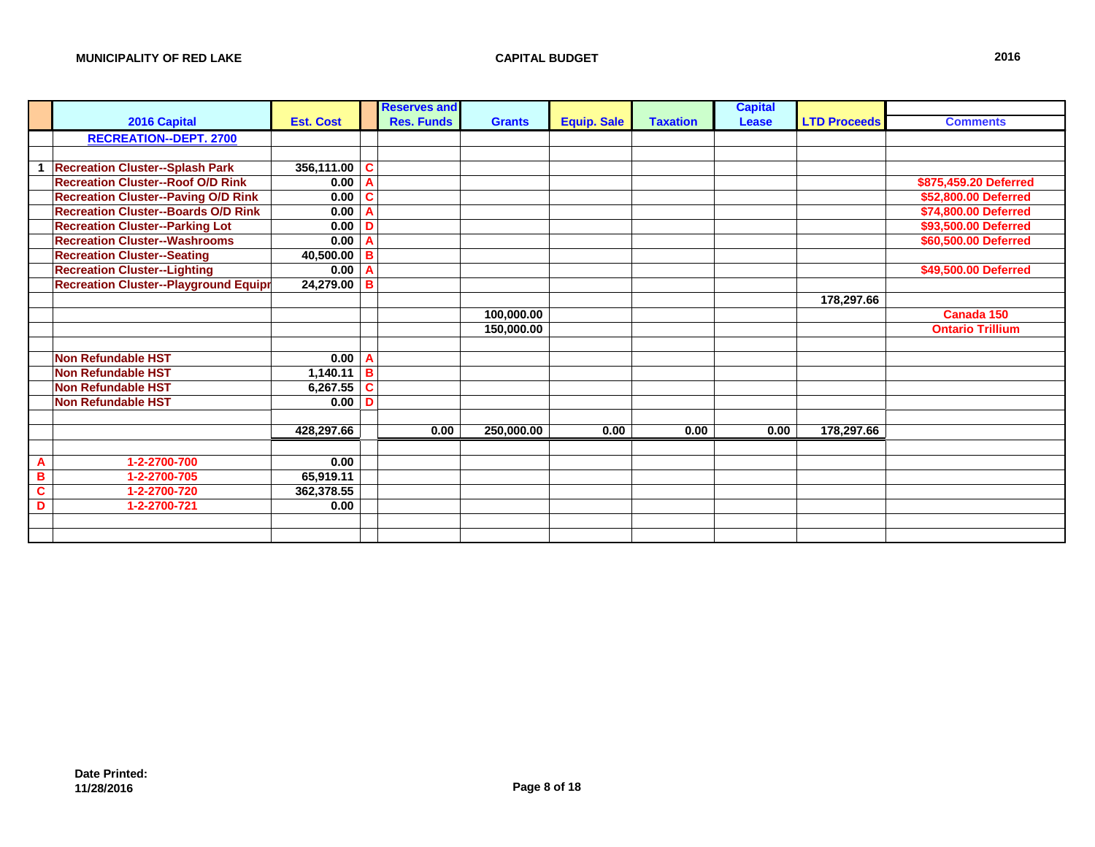|                |                                              |                  |                            | <b>Reserves and</b> |               |                    |                 | <b>Capital</b> |                     |                         |
|----------------|----------------------------------------------|------------------|----------------------------|---------------------|---------------|--------------------|-----------------|----------------|---------------------|-------------------------|
|                | 2016 Capital                                 | <b>Est. Cost</b> |                            | <b>Res. Funds</b>   | <b>Grants</b> | <b>Equip. Sale</b> | <b>Taxation</b> | Lease          | <b>LTD Proceeds</b> | <b>Comments</b>         |
|                | <b>RECREATION--DEPT. 2700</b>                |                  |                            |                     |               |                    |                 |                |                     |                         |
|                |                                              |                  |                            |                     |               |                    |                 |                |                     |                         |
|                | <b>Recreation Cluster--Splash Park</b>       | $356,111.00$ C   |                            |                     |               |                    |                 |                |                     |                         |
|                | <b>Recreation Cluster--Roof O/D Rink</b>     | 0.00 A           |                            |                     |               |                    |                 |                |                     | \$875,459.20 Deferred   |
|                | <b>Recreation Cluster--Paving O/D Rink</b>   | 0.00             | $\mathbf c$                |                     |               |                    |                 |                |                     | \$52,800.00 Deferred    |
|                | <b>Recreation Cluster--Boards O/D Rink</b>   | 0.00             | $\mathsf{A}$               |                     |               |                    |                 |                |                     | \$74,800.00 Deferred    |
|                | <b>Recreation Cluster--Parking Lot</b>       | 0.00             | D                          |                     |               |                    |                 |                |                     | \$93,500.00 Deferred    |
|                | <b>Recreation Cluster--Washrooms</b>         | 0.00             | $\overline{A}$             |                     |               |                    |                 |                |                     | \$60,500.00 Deferred    |
|                | <b>Recreation Cluster--Seating</b>           | 40,500.00        | B                          |                     |               |                    |                 |                |                     |                         |
|                | <b>Recreation Cluster--Lighting</b>          | 0.00             | A                          |                     |               |                    |                 |                |                     | \$49,500.00 Deferred    |
|                | <b>Recreation Cluster--Playground Equipr</b> | $24,279.00$ B    |                            |                     |               |                    |                 |                |                     |                         |
|                |                                              |                  |                            |                     |               |                    |                 |                | 178,297.66          |                         |
|                |                                              |                  |                            |                     | 100,000.00    |                    |                 |                |                     | Canada 150              |
|                |                                              |                  |                            |                     | 150,000.00    |                    |                 |                |                     | <b>Ontario Trillium</b> |
|                |                                              |                  |                            |                     |               |                    |                 |                |                     |                         |
|                | <b>Non Refundable HST</b>                    | $0.00$ A         |                            |                     |               |                    |                 |                |                     |                         |
|                | <b>Non Refundable HST</b>                    | 1,140.11         | $\overline{\phantom{a}}$ B |                     |               |                    |                 |                |                     |                         |
|                | <b>Non Refundable HST</b>                    | 6,267.55 $ C $   |                            |                     |               |                    |                 |                |                     |                         |
|                | <b>Non Refundable HST</b>                    | 0.00             | D                          |                     |               |                    |                 |                |                     |                         |
|                |                                              |                  |                            |                     |               |                    |                 |                |                     |                         |
|                |                                              | 428,297.66       |                            | 0.00                | 250,000.00    | 0.00               | 0.00            | 0.00           | 178,297.66          |                         |
|                |                                              |                  |                            |                     |               |                    |                 |                |                     |                         |
| $\overline{A}$ | 1-2-2700-700                                 | 0.00             |                            |                     |               |                    |                 |                |                     |                         |
| B              | 1-2-2700-705                                 | 65,919.11        |                            |                     |               |                    |                 |                |                     |                         |
| C              | 1-2-2700-720                                 | 362,378.55       |                            |                     |               |                    |                 |                |                     |                         |
| D              | 1-2-2700-721                                 | 0.00             |                            |                     |               |                    |                 |                |                     |                         |
|                |                                              |                  |                            |                     |               |                    |                 |                |                     |                         |
|                |                                              |                  |                            |                     |               |                    |                 |                |                     |                         |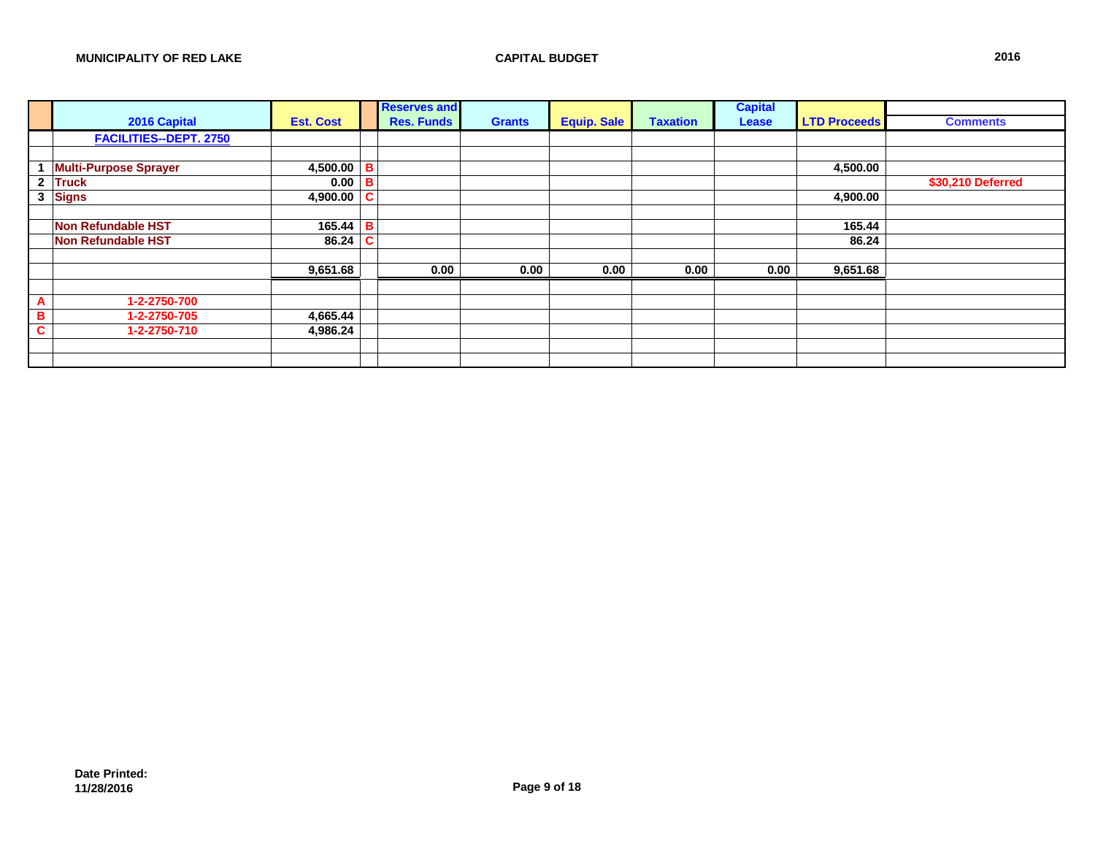|              | 2016 Capital                  | <b>Est. Cost</b>  |             | <b>Reserves and</b><br><b>Res. Funds</b> | <b>Grants</b> | <b>Equip. Sale</b> | <b>Taxation</b> | <b>Capital</b><br>Lease | <b>LTD Proceeds</b> | <b>Comments</b>   |
|--------------|-------------------------------|-------------------|-------------|------------------------------------------|---------------|--------------------|-----------------|-------------------------|---------------------|-------------------|
|              | <b>FACILITIES--DEPT. 2750</b> |                   |             |                                          |               |                    |                 |                         |                     |                   |
|              |                               |                   |             |                                          |               |                    |                 |                         |                     |                   |
|              | <b>Multi-Purpose Sprayer</b>  | 4,500.00 <b>B</b> |             |                                          |               |                    |                 |                         | 4,500.00            |                   |
| $\mathbf{2}$ | <b>Truck</b>                  | 0.00              | B           |                                          |               |                    |                 |                         |                     | \$30,210 Deferred |
| 3            | Signs                         | 4,900.00          | $\mathbf c$ |                                          |               |                    |                 |                         | 4,900.00            |                   |
|              |                               |                   |             |                                          |               |                    |                 |                         |                     |                   |
|              | <b>Non Refundable HST</b>     | $165.44$ B        |             |                                          |               |                    |                 |                         | 165.44              |                   |
|              | <b>Non Refundable HST</b>     | 86.24             | C           |                                          |               |                    |                 |                         | 86.24               |                   |
|              |                               |                   |             |                                          |               |                    |                 |                         |                     |                   |
|              |                               | 9,651.68          |             | 0.00                                     | 0.00          | 0.00               | 0.00            | 0.00                    | 9,651.68            |                   |
|              |                               |                   |             |                                          |               |                    |                 |                         |                     |                   |
| A            | 1-2-2750-700                  |                   |             |                                          |               |                    |                 |                         |                     |                   |
| в            | 1-2-2750-705                  | 4,665.44          |             |                                          |               |                    |                 |                         |                     |                   |
| C            | 1-2-2750-710                  | 4,986.24          |             |                                          |               |                    |                 |                         |                     |                   |
|              |                               |                   |             |                                          |               |                    |                 |                         |                     |                   |
|              |                               |                   |             |                                          |               |                    |                 |                         |                     |                   |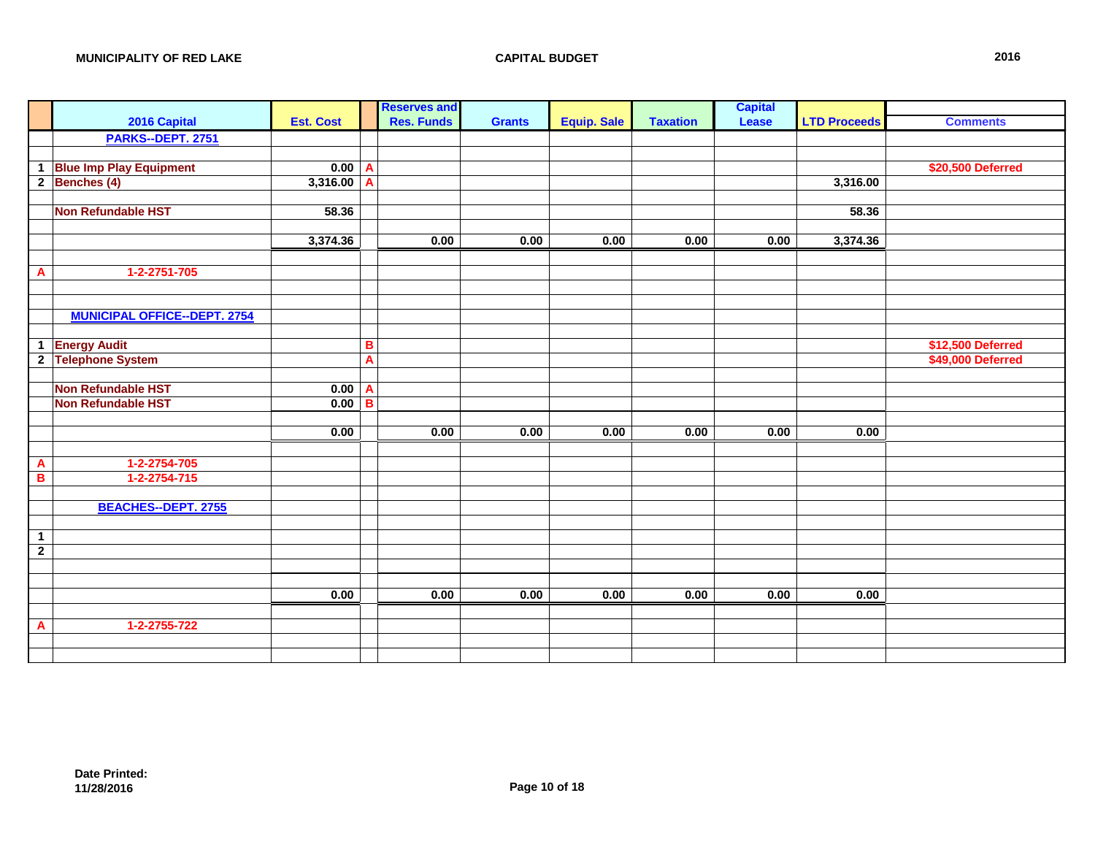|                |                                     |                  | <b>Reserves and</b>     |               |                    |                 | <b>Capital</b> |                     |                   |
|----------------|-------------------------------------|------------------|-------------------------|---------------|--------------------|-----------------|----------------|---------------------|-------------------|
|                | 2016 Capital                        | <b>Est. Cost</b> | <b>Res. Funds</b>       | <b>Grants</b> | <b>Equip. Sale</b> | <b>Taxation</b> | <b>Lease</b>   | <b>LTD Proceeds</b> | <b>Comments</b>   |
|                | PARKS--DEPT. 2751                   |                  |                         |               |                    |                 |                |                     |                   |
|                |                                     |                  |                         |               |                    |                 |                |                     |                   |
| $\mathbf{1}$   | <b>Blue Imp Play Equipment</b>      | $0.00$ A         |                         |               |                    |                 |                |                     | \$20,500 Deferred |
|                | $2$ Benches (4)                     | 3,316.00         | $\overline{\mathsf{A}}$ |               |                    |                 |                | 3,316.00            |                   |
|                |                                     |                  |                         |               |                    |                 |                |                     |                   |
|                | Non Refundable HST                  | 58.36            |                         |               |                    |                 |                | 58.36               |                   |
|                |                                     |                  |                         |               |                    |                 |                |                     |                   |
|                |                                     | 3,374.36         | 0.00                    | 0.00          | 0.00               | 0.00            | 0.00           | 3,374.36            |                   |
|                |                                     |                  |                         |               |                    |                 |                |                     |                   |
| $\mathbf{A}$   | 1-2-2751-705                        |                  |                         |               |                    |                 |                |                     |                   |
|                |                                     |                  |                         |               |                    |                 |                |                     |                   |
|                |                                     |                  |                         |               |                    |                 |                |                     |                   |
|                | <b>MUNICIPAL OFFICE--DEPT. 2754</b> |                  |                         |               |                    |                 |                |                     |                   |
|                |                                     |                  |                         |               |                    |                 |                |                     |                   |
| $\mathbf{1}$   | <b>Energy Audit</b>                 |                  | в                       |               |                    |                 |                |                     | \$12,500 Deferred |
|                | 2 Telephone System                  |                  | $\overline{\mathsf{A}}$ |               |                    |                 |                |                     | \$49,000 Deferred |
|                |                                     |                  |                         |               |                    |                 |                |                     |                   |
|                | Non Refundable HST                  | 0.00             | $\mathbf{A}$            |               |                    |                 |                |                     |                   |
|                | <b>Non Refundable HST</b>           | 0.00             | B                       |               |                    |                 |                |                     |                   |
|                |                                     |                  |                         |               |                    |                 |                |                     |                   |
|                |                                     | 0.00             | 0.00                    | 0.00          | 0.00               | 0.00            | 0.00           | 0.00                |                   |
|                |                                     |                  |                         |               |                    |                 |                |                     |                   |
| A              | 1-2-2754-705                        |                  |                         |               |                    |                 |                |                     |                   |
| B              | 1-2-2754-715                        |                  |                         |               |                    |                 |                |                     |                   |
|                |                                     |                  |                         |               |                    |                 |                |                     |                   |
|                | <b>BEACHES--DEPT. 2755</b>          |                  |                         |               |                    |                 |                |                     |                   |
|                |                                     |                  |                         |               |                    |                 |                |                     |                   |
| $\mathbf 1$    |                                     |                  |                         |               |                    |                 |                |                     |                   |
| $\overline{2}$ |                                     |                  |                         |               |                    |                 |                |                     |                   |
|                |                                     |                  |                         |               |                    |                 |                |                     |                   |
|                |                                     |                  |                         |               |                    |                 |                |                     |                   |
|                |                                     | 0.00             | 0.00                    | 0.00          | 0.00               | 0.00            | 0.00           | 0.00                |                   |
|                |                                     |                  |                         |               |                    |                 |                |                     |                   |
| A              | 1-2-2755-722                        |                  |                         |               |                    |                 |                |                     |                   |
|                |                                     |                  |                         |               |                    |                 |                |                     |                   |
|                |                                     |                  |                         |               |                    |                 |                |                     |                   |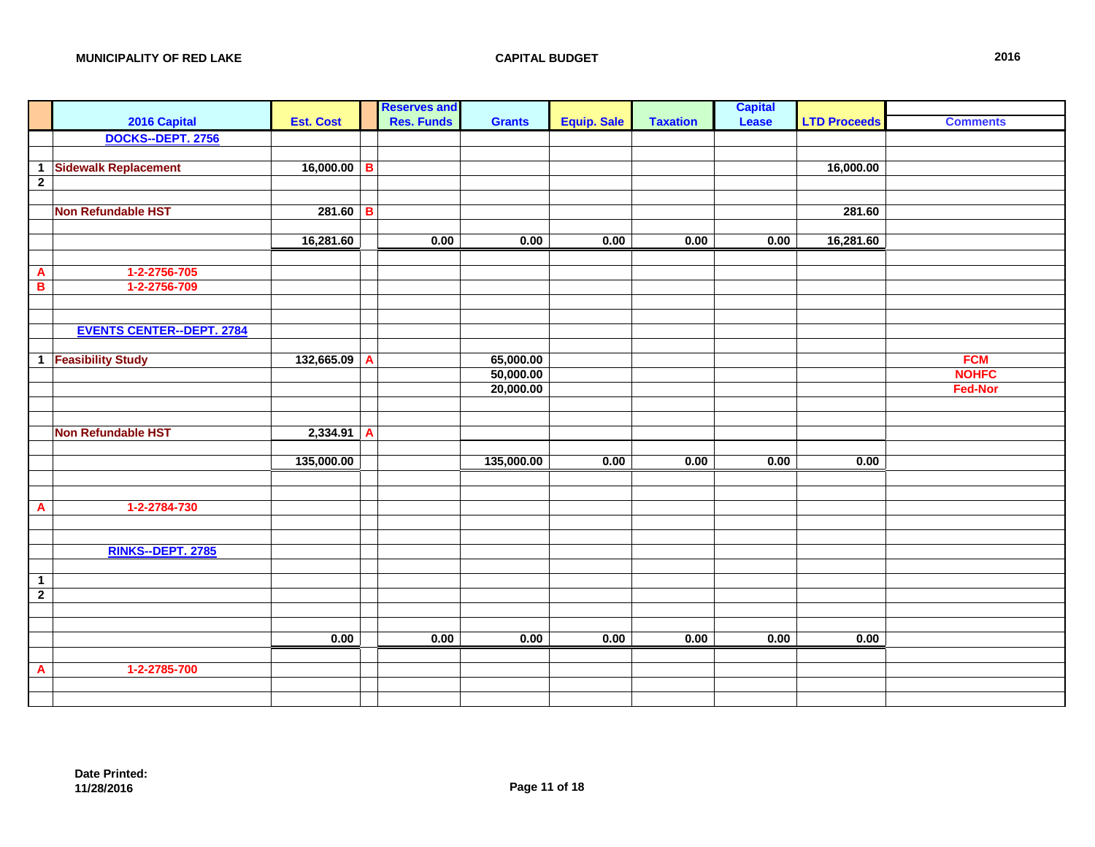| $\mathbb{R}^2$            |                                  |                  |                | <b>Reserves and</b> |                        |                    |                 | <b>Capital</b> |                     |                                |
|---------------------------|----------------------------------|------------------|----------------|---------------------|------------------------|--------------------|-----------------|----------------|---------------------|--------------------------------|
|                           | 2016 Capital                     | <b>Est. Cost</b> |                | <b>Res. Funds</b>   | <b>Grants</b>          | <b>Equip. Sale</b> | <b>Taxation</b> | Lease          | <b>LTD Proceeds</b> | <b>Comments</b>                |
|                           | DOCKS--DEPT. 2756                |                  |                |                     |                        |                    |                 |                |                     |                                |
|                           |                                  |                  |                |                     |                        |                    |                 |                |                     |                                |
| $\mathbf{1}$              | <b>Sidewalk Replacement</b>      | $16,000.00$ B    |                |                     |                        |                    |                 |                | 16,000.00           |                                |
| $\overline{2}$            |                                  |                  |                |                     |                        |                    |                 |                |                     |                                |
|                           |                                  |                  |                |                     |                        |                    |                 |                |                     |                                |
|                           | <b>Non Refundable HST</b>        | $281.60$ B       |                |                     |                        |                    |                 |                | 281.60              |                                |
|                           |                                  |                  |                |                     |                        |                    |                 |                |                     |                                |
|                           |                                  | 16,281.60        |                | 0.00                | 0.00                   | 0.00               | 0.00            | 0.00           | 16,281.60           |                                |
|                           |                                  |                  |                |                     |                        |                    |                 |                |                     |                                |
| $\boldsymbol{\mathsf{A}}$ | 1-2-2756-705                     |                  |                |                     |                        |                    |                 |                |                     |                                |
| $\overline{\mathbf{B}}$   | 1-2-2756-709                     |                  |                |                     |                        |                    |                 |                |                     |                                |
|                           |                                  |                  |                |                     |                        |                    |                 |                |                     |                                |
|                           |                                  |                  |                |                     |                        |                    |                 |                |                     |                                |
|                           | <b>EVENTS CENTER--DEPT. 2784</b> |                  |                |                     |                        |                    |                 |                |                     |                                |
|                           |                                  |                  |                |                     |                        |                    |                 |                |                     |                                |
|                           | 1 <b>Feasibility Study</b>       | 132,665.09       | A              |                     | 65,000.00              |                    |                 |                |                     | <b>FCM</b>                     |
|                           |                                  |                  |                |                     | 50,000.00<br>20,000.00 |                    |                 |                |                     | <b>NOHFC</b><br><b>Fed-Nor</b> |
|                           |                                  |                  |                |                     |                        |                    |                 |                |                     |                                |
|                           |                                  |                  |                |                     |                        |                    |                 |                |                     |                                |
|                           | <b>Non Refundable HST</b>        | 2,334.91         | $\overline{A}$ |                     |                        |                    |                 |                |                     |                                |
|                           |                                  |                  |                |                     |                        |                    |                 |                |                     |                                |
|                           |                                  | 135,000.00       |                |                     | 135,000.00             | 0.00               | 0.00            | 0.00           | 0.00                |                                |
|                           |                                  |                  |                |                     |                        |                    |                 |                |                     |                                |
|                           |                                  |                  |                |                     |                        |                    |                 |                |                     |                                |
| $\blacktriangle$          | 1-2-2784-730                     |                  |                |                     |                        |                    |                 |                |                     |                                |
|                           |                                  |                  |                |                     |                        |                    |                 |                |                     |                                |
|                           |                                  |                  |                |                     |                        |                    |                 |                |                     |                                |
|                           | <b>RINKS--DEPT. 2785</b>         |                  |                |                     |                        |                    |                 |                |                     |                                |
|                           |                                  |                  |                |                     |                        |                    |                 |                |                     |                                |
| $\overline{1}$            |                                  |                  |                |                     |                        |                    |                 |                |                     |                                |
| $\overline{2}$            |                                  |                  |                |                     |                        |                    |                 |                |                     |                                |
|                           |                                  |                  |                |                     |                        |                    |                 |                |                     |                                |
|                           |                                  |                  |                |                     |                        |                    |                 |                |                     |                                |
|                           |                                  | 0.00             |                | 0.00                | 0.00                   | 0.00               | 0.00            | 0.00           | 0.00                |                                |
|                           |                                  |                  |                |                     |                        |                    |                 |                |                     |                                |
| $\blacktriangle$          | 1-2-2785-700                     |                  |                |                     |                        |                    |                 |                |                     |                                |
|                           |                                  |                  |                |                     |                        |                    |                 |                |                     |                                |
|                           |                                  |                  |                |                     |                        |                    |                 |                |                     |                                |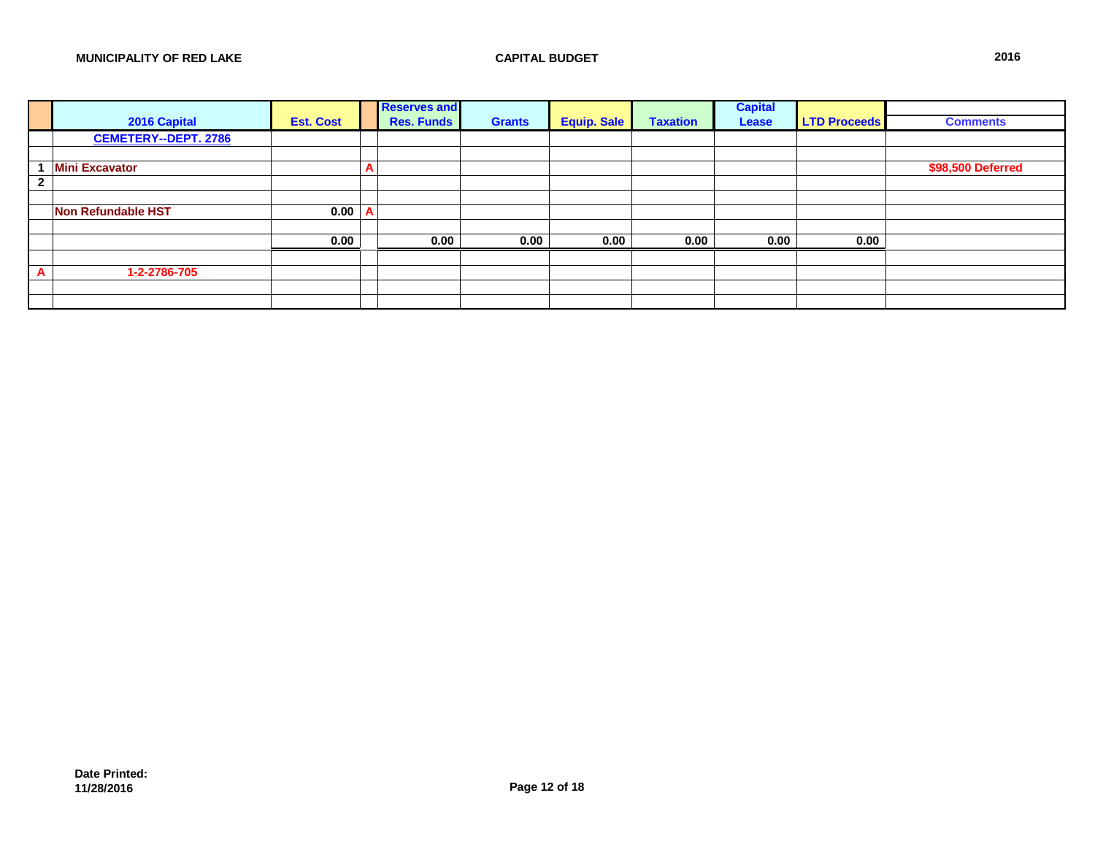|              |                             |                  |                       | <b>Reserves and</b> |               |                    |                 | <b>Capital</b> |                     |                   |
|--------------|-----------------------------|------------------|-----------------------|---------------------|---------------|--------------------|-----------------|----------------|---------------------|-------------------|
|              | 2016 Capital                | <b>Est. Cost</b> |                       | <b>Res. Funds</b>   | <b>Grants</b> | <b>Equip. Sale</b> | <b>Taxation</b> | Lease          | <b>LTD Proceeds</b> | <b>Comments</b>   |
|              | <b>CEMETERY--DEPT. 2786</b> |                  |                       |                     |               |                    |                 |                |                     |                   |
|              |                             |                  |                       |                     |               |                    |                 |                |                     |                   |
|              | <b>Mini Excavator</b>       |                  | $\mathbf{\mathsf{m}}$ |                     |               |                    |                 |                |                     | \$98,500 Deferred |
| $\mathbf{2}$ |                             |                  |                       |                     |               |                    |                 |                |                     |                   |
|              |                             |                  |                       |                     |               |                    |                 |                |                     |                   |
|              | <b>Non Refundable HST</b>   | 0.00             |                       |                     |               |                    |                 |                |                     |                   |
|              |                             |                  |                       |                     |               |                    |                 |                |                     |                   |
|              |                             | 0.00             |                       | 0.00                | 0.00          | 0.00               | 0.00            | 0.00           | 0.00                |                   |
|              |                             |                  |                       |                     |               |                    |                 |                |                     |                   |
| A            | 1-2-2786-705                |                  |                       |                     |               |                    |                 |                |                     |                   |
|              |                             |                  |                       |                     |               |                    |                 |                |                     |                   |
|              |                             |                  |                       |                     |               |                    |                 |                |                     |                   |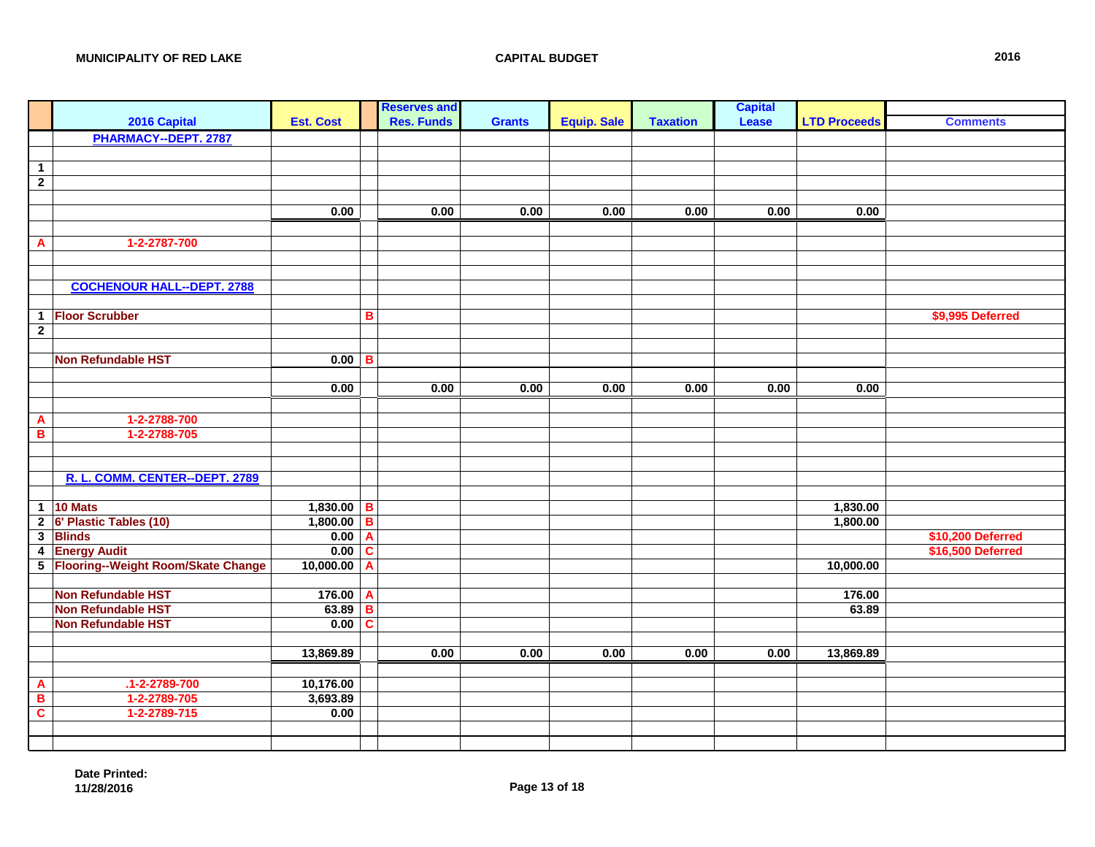|                         |                                      |                  |   | <b>Reserves and</b> |               |                    |                 | <b>Capital</b> |                     |                   |
|-------------------------|--------------------------------------|------------------|---|---------------------|---------------|--------------------|-----------------|----------------|---------------------|-------------------|
|                         | 2016 Capital                         | <b>Est. Cost</b> |   | <b>Res. Funds</b>   | <b>Grants</b> | <b>Equip. Sale</b> | <b>Taxation</b> | Lease          | <b>LTD Proceeds</b> | <b>Comments</b>   |
|                         | PHARMACY--DEPT. 2787                 |                  |   |                     |               |                    |                 |                |                     |                   |
|                         |                                      |                  |   |                     |               |                    |                 |                |                     |                   |
| $\overline{1}$          |                                      |                  |   |                     |               |                    |                 |                |                     |                   |
| $\overline{2}$          |                                      |                  |   |                     |               |                    |                 |                |                     |                   |
|                         |                                      |                  |   |                     |               |                    |                 |                |                     |                   |
|                         |                                      | 0.00             |   | 0.00                | 0.00          | 0.00               | 0.00            | 0.00           | 0.00                |                   |
|                         |                                      |                  |   |                     |               |                    |                 |                |                     |                   |
| $\mathbf{A}$            | 1-2-2787-700                         |                  |   |                     |               |                    |                 |                |                     |                   |
|                         |                                      |                  |   |                     |               |                    |                 |                |                     |                   |
|                         |                                      |                  |   |                     |               |                    |                 |                |                     |                   |
|                         | <b>COCHENOUR HALL--DEPT. 2788</b>    |                  |   |                     |               |                    |                 |                |                     |                   |
|                         |                                      |                  |   |                     |               |                    |                 |                |                     |                   |
| $\mathbf{1}$            | <b>Floor Scrubber</b>                |                  | B |                     |               |                    |                 |                |                     | \$9,995 Deferred  |
| $\overline{2}$          |                                      |                  |   |                     |               |                    |                 |                |                     |                   |
|                         |                                      |                  |   |                     |               |                    |                 |                |                     |                   |
|                         | <b>Non Refundable HST</b>            | $0.00$ B         |   |                     |               |                    |                 |                |                     |                   |
|                         |                                      |                  |   |                     |               |                    |                 |                |                     |                   |
|                         |                                      | 0.00             |   | 0.00                | 0.00          | 0.00               | 0.00            | 0.00           | 0.00                |                   |
|                         |                                      |                  |   |                     |               |                    |                 |                |                     |                   |
| $\overline{\mathbf{A}}$ | 1-2-2788-700                         |                  |   |                     |               |                    |                 |                |                     |                   |
| $\overline{\mathbf{B}}$ | 1-2-2788-705                         |                  |   |                     |               |                    |                 |                |                     |                   |
|                         |                                      |                  |   |                     |               |                    |                 |                |                     |                   |
|                         |                                      |                  |   |                     |               |                    |                 |                |                     |                   |
|                         | R. L. COMM. CENTER--DEPT. 2789       |                  |   |                     |               |                    |                 |                |                     |                   |
|                         |                                      |                  |   |                     |               |                    |                 |                |                     |                   |
| $\overline{1}$          | 10 Mats                              | $1,830.00$ B     |   |                     |               |                    |                 |                | 1,830.00            |                   |
| $\overline{2}$          | 6' Plastic Tables (10)               | 1,800.00         | B |                     |               |                    |                 |                | 1,800.00            |                   |
| $\overline{\mathbf{3}}$ | <b>Blinds</b>                        | 0.00             | A |                     |               |                    |                 |                |                     | \$10,200 Deferred |
| $\overline{\mathbf{4}}$ | <b>Energy Audit</b>                  | 0.00             | C |                     |               |                    |                 |                |                     | \$16,500 Deferred |
|                         | 5 Flooring--Weight Room/Skate Change | 10,000.00        | A |                     |               |                    |                 |                | 10,000.00           |                   |
|                         |                                      |                  |   |                     |               |                    |                 |                |                     |                   |
|                         | <b>Non Refundable HST</b>            | 176.00           | A |                     |               |                    |                 |                | 176.00              |                   |
|                         | <b>Non Refundable HST</b>            | 63.89            | в |                     |               |                    |                 |                | 63.89               |                   |
|                         | <b>Non Refundable HST</b>            | 0.00             | C |                     |               |                    |                 |                |                     |                   |
|                         |                                      |                  |   |                     |               |                    |                 |                |                     |                   |
|                         |                                      | 13,869.89        |   | 0.00                | 0.00          | 0.00               | 0.00            | 0.00           | 13,869.89           |                   |
|                         |                                      |                  |   |                     |               |                    |                 |                |                     |                   |
| $\mathbf{A}$            | $.1 - 2 - 2789 - 700$                | 10,176.00        |   |                     |               |                    |                 |                |                     |                   |
| $\overline{\mathbf{B}}$ | 1-2-2789-705                         | 3,693.89         |   |                     |               |                    |                 |                |                     |                   |
| $\overline{\mathbf{c}}$ | 1-2-2789-715                         | 0.00             |   |                     |               |                    |                 |                |                     |                   |
|                         |                                      |                  |   |                     |               |                    |                 |                |                     |                   |
|                         |                                      |                  |   |                     |               |                    |                 |                |                     |                   |
|                         |                                      |                  |   |                     |               |                    |                 |                |                     |                   |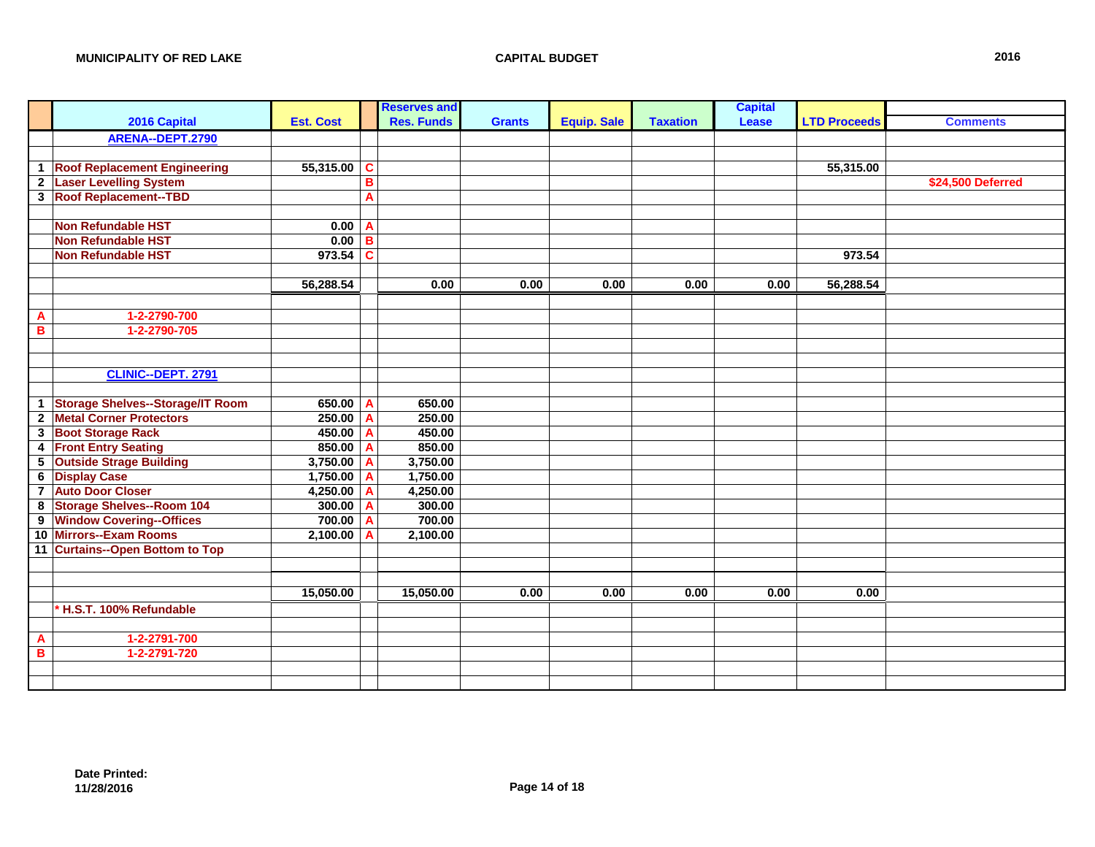|                         |                                         |                  |   | <b>Reserves and</b> |               |                    |                 | <b>Capital</b> |                     |                   |
|-------------------------|-----------------------------------------|------------------|---|---------------------|---------------|--------------------|-----------------|----------------|---------------------|-------------------|
|                         | 2016 Capital                            | <b>Est. Cost</b> |   | <b>Res. Funds</b>   | <b>Grants</b> | <b>Equip. Sale</b> | <b>Taxation</b> | Lease          | <b>LTD Proceeds</b> | <b>Comments</b>   |
|                         | ARENA--DEPT.2790                        |                  |   |                     |               |                    |                 |                |                     |                   |
|                         |                                         |                  |   |                     |               |                    |                 |                |                     |                   |
|                         | 1 Roof Replacement Engineering          | 55,315.00        | C |                     |               |                    |                 |                | 55,315.00           |                   |
|                         | 2 Laser Levelling System                |                  | B |                     |               |                    |                 |                |                     | \$24,500 Deferred |
|                         | 3 Roof Replacement--TBD                 |                  | A |                     |               |                    |                 |                |                     |                   |
|                         |                                         |                  |   |                     |               |                    |                 |                |                     |                   |
|                         | <b>Non Refundable HST</b>               | 0.00             | A |                     |               |                    |                 |                |                     |                   |
|                         | <b>Non Refundable HST</b>               | $0.00$ B         |   |                     |               |                    |                 |                |                     |                   |
|                         | <b>Non Refundable HST</b>               | $973.54$ C       |   |                     |               |                    |                 |                | 973.54              |                   |
|                         |                                         |                  |   |                     |               |                    |                 |                |                     |                   |
|                         |                                         | 56,288.54        |   | 0.00                | 0.00          | 0.00               | 0.00            | 0.00           | 56,288.54           |                   |
|                         |                                         |                  |   |                     |               |                    |                 |                |                     |                   |
| A                       | 1-2-2790-700                            |                  |   |                     |               |                    |                 |                |                     |                   |
| B                       | 1-2-2790-705                            |                  |   |                     |               |                    |                 |                |                     |                   |
|                         |                                         |                  |   |                     |               |                    |                 |                |                     |                   |
|                         |                                         |                  |   |                     |               |                    |                 |                |                     |                   |
|                         | <b>CLINIC--DEPT. 2791</b>               |                  |   |                     |               |                    |                 |                |                     |                   |
|                         |                                         |                  |   |                     |               |                    |                 |                |                     |                   |
| $\mathbf{1}$            | <b>Storage Shelves--Storage/IT Room</b> | 650.00           | A | 650.00              |               |                    |                 |                |                     |                   |
| $\mathbf{2}$            | <b>Metal Corner Protectors</b>          | 250.00           | A | 250.00              |               |                    |                 |                |                     |                   |
|                         | 3 Boot Storage Rack                     | $450.00$ A       |   | 450.00              |               |                    |                 |                |                     |                   |
|                         | 4 Front Entry Seating                   | 850.00 A         |   | 850.00              |               |                    |                 |                |                     |                   |
| 5 <sup>5</sup>          | <b>Outside Strage Building</b>          | $3,750.00$ A     |   | 3,750.00            |               |                    |                 |                |                     |                   |
| $\overline{\mathbf{6}}$ | <b>Display Case</b>                     | $1,750.00$ A     |   | 1,750.00            |               |                    |                 |                |                     |                   |
| $\overline{7}$          | <b>Auto Door Closer</b>                 | 4,250.00         | A | 4,250.00            |               |                    |                 |                |                     |                   |
| 8                       | <b>Storage Shelves--Room 104</b>        | 300.00           | A | 300.00              |               |                    |                 |                |                     |                   |
|                         | 9 Window Covering--Offices              | $700.00$ A       |   | 700.00              |               |                    |                 |                |                     |                   |
|                         | 10 Mirrors--Exam Rooms                  | 2,100.00         | A | 2,100.00            |               |                    |                 |                |                     |                   |
|                         | 11 Curtains--Open Bottom to Top         |                  |   |                     |               |                    |                 |                |                     |                   |
|                         |                                         |                  |   |                     |               |                    |                 |                |                     |                   |
|                         |                                         |                  |   |                     |               |                    |                 |                |                     |                   |
|                         |                                         | 15,050.00        |   | 15,050.00           | 0.00          | 0.00               | 0.00            | 0.00           | 0.00                |                   |
|                         | * H.S.T. 100% Refundable                |                  |   |                     |               |                    |                 |                |                     |                   |
|                         |                                         |                  |   |                     |               |                    |                 |                |                     |                   |
| A                       | 1-2-2791-700                            |                  |   |                     |               |                    |                 |                |                     |                   |
| в                       | 1-2-2791-720                            |                  |   |                     |               |                    |                 |                |                     |                   |
|                         |                                         |                  |   |                     |               |                    |                 |                |                     |                   |
|                         |                                         |                  |   |                     |               |                    |                 |                |                     |                   |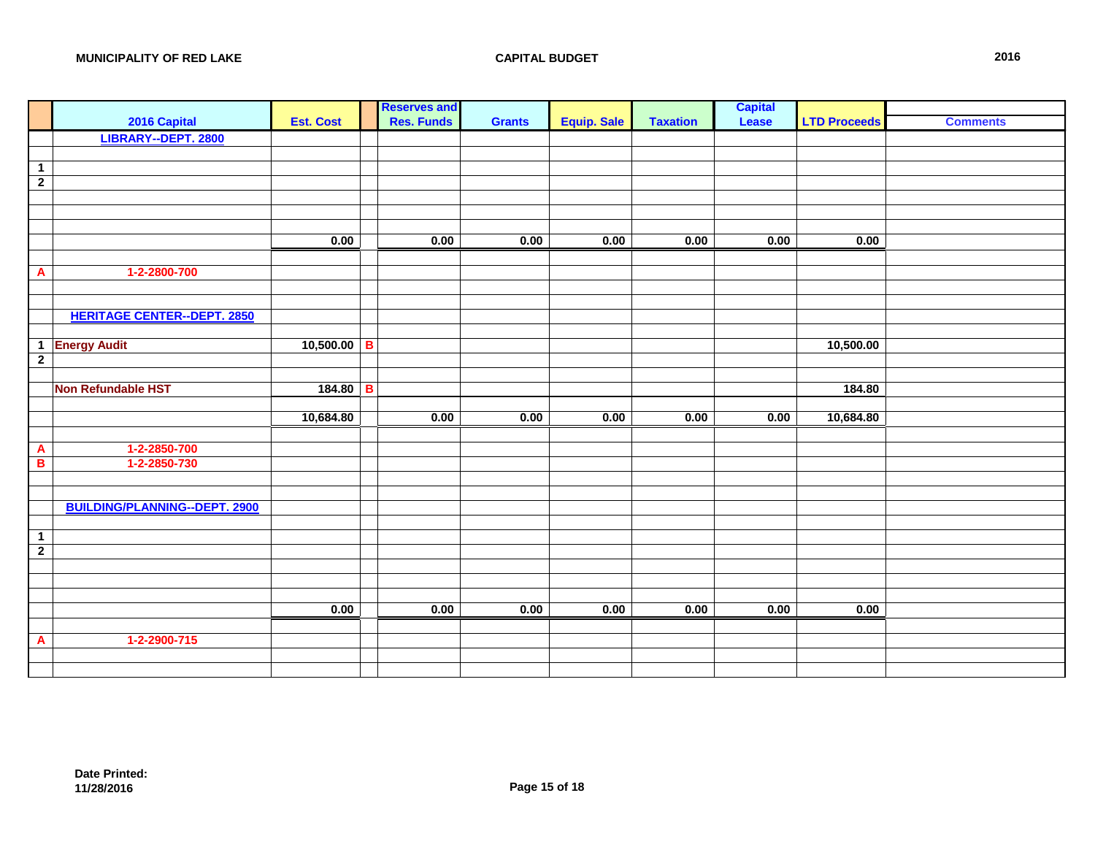|                |                                      |                  |              | <b>Reserves and</b> |               |                    |                 | <b>Capital</b> |                     |                 |
|----------------|--------------------------------------|------------------|--------------|---------------------|---------------|--------------------|-----------------|----------------|---------------------|-----------------|
|                | 2016 Capital                         | <b>Est. Cost</b> |              | <b>Res. Funds</b>   | <b>Grants</b> | <b>Equip. Sale</b> | <b>Taxation</b> | Lease          | <b>LTD Proceeds</b> | <b>Comments</b> |
|                | LIBRARY--DEPT. 2800                  |                  |              |                     |               |                    |                 |                |                     |                 |
|                |                                      |                  |              |                     |               |                    |                 |                |                     |                 |
| $\overline{1}$ |                                      |                  |              |                     |               |                    |                 |                |                     |                 |
| $\overline{2}$ |                                      |                  |              |                     |               |                    |                 |                |                     |                 |
|                |                                      |                  |              |                     |               |                    |                 |                |                     |                 |
|                |                                      |                  |              |                     |               |                    |                 |                |                     |                 |
|                |                                      |                  |              |                     |               |                    |                 |                |                     |                 |
|                |                                      | 0.00             |              | 0.00                | 0.00          | 0.00               | 0.00            | 0.00           | 0.00                |                 |
|                |                                      |                  |              |                     |               |                    |                 |                |                     |                 |
| $\mathbf{A}$   | 1-2-2800-700                         |                  |              |                     |               |                    |                 |                |                     |                 |
|                |                                      |                  |              |                     |               |                    |                 |                |                     |                 |
|                |                                      |                  |              |                     |               |                    |                 |                |                     |                 |
|                | <b>HERITAGE CENTER--DEPT. 2850</b>   |                  |              |                     |               |                    |                 |                |                     |                 |
|                |                                      |                  |              |                     |               |                    |                 |                |                     |                 |
|                | 1 Energy Audit                       | $10,500.00$ B    |              |                     |               |                    |                 |                | 10,500.00           |                 |
| $\overline{2}$ |                                      |                  |              |                     |               |                    |                 |                |                     |                 |
|                |                                      |                  |              |                     |               |                    |                 |                |                     |                 |
|                | Non Refundable HST                   | 184.80           | $\, {\bf B}$ |                     |               |                    |                 |                | 184.80              |                 |
|                |                                      |                  |              |                     |               |                    |                 |                |                     |                 |
|                |                                      | 10,684.80        |              | 0.00                | 0.00          | 0.00               | 0.00            | 0.00           | 10,684.80           |                 |
|                |                                      |                  |              |                     |               |                    |                 |                |                     |                 |
| $\mathbf{A}$   | 1-2-2850-700                         |                  |              |                     |               |                    |                 |                |                     |                 |
| B              | 1-2-2850-730                         |                  |              |                     |               |                    |                 |                |                     |                 |
|                |                                      |                  |              |                     |               |                    |                 |                |                     |                 |
|                |                                      |                  |              |                     |               |                    |                 |                |                     |                 |
|                | <b>BUILDING/PLANNING--DEPT. 2900</b> |                  |              |                     |               |                    |                 |                |                     |                 |
|                |                                      |                  |              |                     |               |                    |                 |                |                     |                 |
| $\overline{1}$ |                                      |                  |              |                     |               |                    |                 |                |                     |                 |
| $\overline{2}$ |                                      |                  |              |                     |               |                    |                 |                |                     |                 |
|                |                                      |                  |              |                     |               |                    |                 |                |                     |                 |
|                |                                      |                  |              |                     |               |                    |                 |                |                     |                 |
|                |                                      |                  |              |                     |               |                    |                 |                |                     |                 |
|                |                                      | 0.00             |              | 0.00                | 0.00          | 0.00               | 0.00            | 0.00           | 0.00                |                 |
|                |                                      |                  |              |                     |               |                    |                 |                |                     |                 |
| A              | 1-2-2900-715                         |                  |              |                     |               |                    |                 |                |                     |                 |
|                |                                      |                  |              |                     |               |                    |                 |                |                     |                 |
|                |                                      |                  |              |                     |               |                    |                 |                |                     |                 |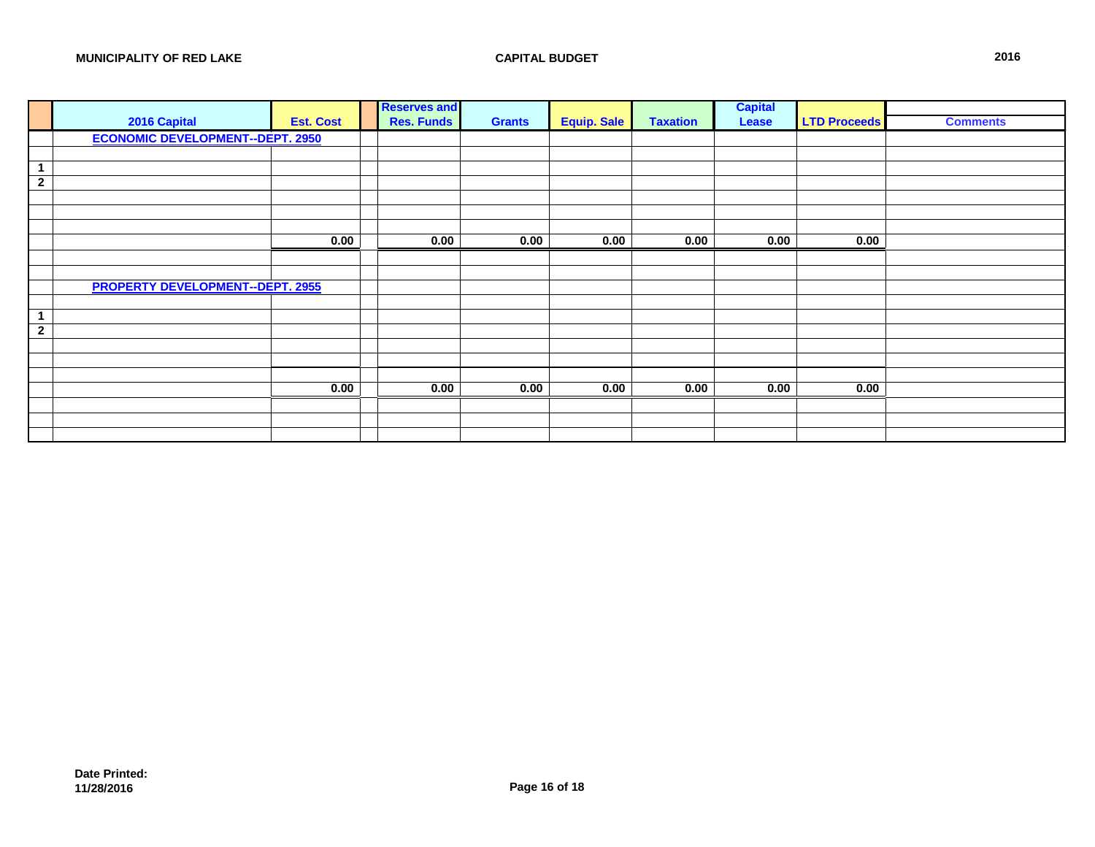|                | 2016 Capital                            | <b>Est. Cost</b> | <b>Reserves and</b><br><b>Res. Funds</b> | <b>Grants</b> | <b>Equip. Sale</b> | <b>Taxation</b> | <b>Capital</b><br>Lease | <b>LTD Proceeds</b> | <b>Comments</b> |
|----------------|-----------------------------------------|------------------|------------------------------------------|---------------|--------------------|-----------------|-------------------------|---------------------|-----------------|
|                | <b>ECONOMIC DEVELOPMENT--DEPT. 2950</b> |                  |                                          |               |                    |                 |                         |                     |                 |
|                |                                         |                  |                                          |               |                    |                 |                         |                     |                 |
|                |                                         |                  |                                          |               |                    |                 |                         |                     |                 |
| $\overline{2}$ |                                         |                  |                                          |               |                    |                 |                         |                     |                 |
|                |                                         |                  |                                          |               |                    |                 |                         |                     |                 |
|                |                                         |                  |                                          |               |                    |                 |                         |                     |                 |
|                |                                         |                  |                                          |               |                    |                 |                         |                     |                 |
|                |                                         | 0.00             | 0.00                                     | 0.00          | 0.00               | 0.00            | 0.00                    | 0.00                |                 |
|                |                                         |                  |                                          |               |                    |                 |                         |                     |                 |
|                |                                         |                  |                                          |               |                    |                 |                         |                     |                 |
|                | <b>PROPERTY DEVELOPMENT--DEPT. 2955</b> |                  |                                          |               |                    |                 |                         |                     |                 |
|                |                                         |                  |                                          |               |                    |                 |                         |                     |                 |
| $\overline{2}$ |                                         |                  |                                          |               |                    |                 |                         |                     |                 |
|                |                                         |                  |                                          |               |                    |                 |                         |                     |                 |
|                |                                         |                  |                                          |               |                    |                 |                         |                     |                 |
|                |                                         |                  |                                          |               |                    |                 |                         |                     |                 |
|                |                                         | 0.00             | 0.00                                     | 0.00          | 0.00               | 0.00            | 0.00                    | 0.00                |                 |
|                |                                         |                  |                                          |               |                    |                 |                         |                     |                 |
|                |                                         |                  |                                          |               |                    |                 |                         |                     |                 |
|                |                                         |                  |                                          |               |                    |                 |                         |                     |                 |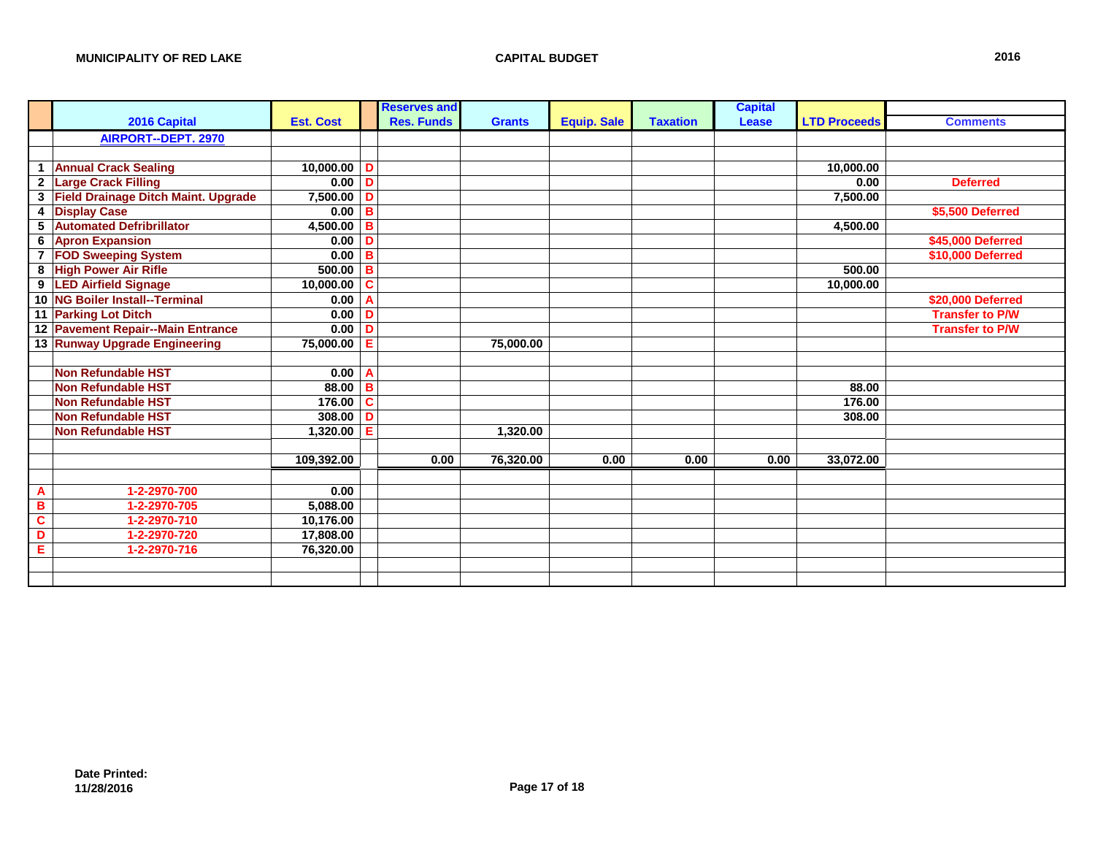|                         |                                            |                  |   | <b>Reserves and</b> |               |                    |                 | <b>Capital</b> |                     |                        |
|-------------------------|--------------------------------------------|------------------|---|---------------------|---------------|--------------------|-----------------|----------------|---------------------|------------------------|
|                         | 2016 Capital                               | <b>Est. Cost</b> |   | <b>Res. Funds</b>   | <b>Grants</b> | <b>Equip. Sale</b> | <b>Taxation</b> | Lease          | <b>LTD Proceeds</b> | <b>Comments</b>        |
|                         | <b>AIRPORT--DEPT. 2970</b>                 |                  |   |                     |               |                    |                 |                |                     |                        |
|                         |                                            |                  |   |                     |               |                    |                 |                |                     |                        |
| 1                       | <b>Annual Crack Sealing</b>                | $10,000.00$ D    |   |                     |               |                    |                 |                | 10,000.00           |                        |
| $\overline{2}$          | <b>Large Crack Filling</b>                 | $0.00$ D         |   |                     |               |                    |                 |                | 0.00                | <b>Deferred</b>        |
| $\overline{\mathbf{3}}$ | <b>Field Drainage Ditch Maint. Upgrade</b> | $7,500.00$ D     |   |                     |               |                    |                 |                | 7,500.00            |                        |
| 4                       | <b>Display Case</b>                        | $0.00$ B         |   |                     |               |                    |                 |                |                     | \$5,500 Deferred       |
| 5                       | <b>Automated Defribrillator</b>            | 4,500.00         | B |                     |               |                    |                 |                | 4,500.00            |                        |
| 6                       | <b>Apron Expansion</b>                     | 0.00             | D |                     |               |                    |                 |                |                     | \$45,000 Deferred      |
| $\overline{7}$          | <b>FOD Sweeping System</b>                 | 0.00             | B |                     |               |                    |                 |                |                     | \$10,000 Deferred      |
| 8                       | <b>High Power Air Rifle</b>                | $500.00$ B       |   |                     |               |                    |                 |                | 500.00              |                        |
|                         | 9 LED Airfield Signage                     | 10,000.00        | C |                     |               |                    |                 |                | 10,000.00           |                        |
|                         | 10 NG Boiler Install--Terminal             | 0.00             | A |                     |               |                    |                 |                |                     | \$20,000 Deferred      |
|                         | 11 Parking Lot Ditch                       | 0.00             | D |                     |               |                    |                 |                |                     | <b>Transfer to P/W</b> |
|                         | 12 Pavement Repair--Main Entrance          | 0.00             | Ð |                     |               |                    |                 |                |                     | <b>Transfer to P/W</b> |
|                         | 13 Runway Upgrade Engineering              | 75,000.00        | Е |                     | 75,000.00     |                    |                 |                |                     |                        |
|                         |                                            |                  |   |                     |               |                    |                 |                |                     |                        |
|                         | <b>Non Refundable HST</b>                  | $0.00$ A         |   |                     |               |                    |                 |                |                     |                        |
|                         | <b>Non Refundable HST</b>                  | $88.00$ B        |   |                     |               |                    |                 |                | 88.00               |                        |
|                         | <b>Non Refundable HST</b>                  | 176.00           | C |                     |               |                    |                 |                | 176.00              |                        |
|                         | <b>Non Refundable HST</b>                  | 308.00           | D |                     |               |                    |                 |                | 308.00              |                        |
|                         | <b>Non Refundable HST</b>                  | 1,320.00         | Е |                     | 1.320.00      |                    |                 |                |                     |                        |
|                         |                                            |                  |   |                     |               |                    |                 |                |                     |                        |
|                         |                                            | 109,392.00       |   | 0.00                | 76,320.00     | 0.00               | 0.00            | 0.00           | 33,072.00           |                        |
|                         |                                            |                  |   |                     |               |                    |                 |                |                     |                        |
| $\mathbf{A}$            | 1-2-2970-700                               | 0.00             |   |                     |               |                    |                 |                |                     |                        |
| B                       | 1-2-2970-705                               | 5,088.00         |   |                     |               |                    |                 |                |                     |                        |
| $\overline{c}$          | 1-2-2970-710                               | 10,176.00        |   |                     |               |                    |                 |                |                     |                        |
| D                       | 1-2-2970-720                               | 17,808.00        |   |                     |               |                    |                 |                |                     |                        |
| E                       | 1-2-2970-716                               | 76,320.00        |   |                     |               |                    |                 |                |                     |                        |
|                         |                                            |                  |   |                     |               |                    |                 |                |                     |                        |
|                         |                                            |                  |   |                     |               |                    |                 |                |                     |                        |